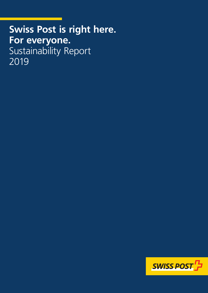# **Swiss Post is right here. For everyone.** Sustainability Report 2019

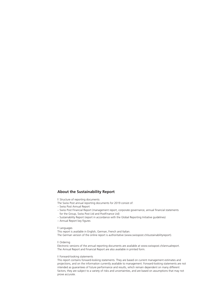#### **About the Sustainability Report**

**I** Structure of reporting documents

- The Swiss Post annual reporting documents for 2019 consist of:
- Swiss Post Annual Report
- Swiss Post Financial Report (management report, corporate governance, annual financial statements for the Group, Swiss Post Ltd and PostFinance Ltd)
- Sustainability Report (report in accordance with the Global Reporting Initiative guidelines)
- Annual Report key figures

#### Languages

This report is available in English, German, French and Italian. The German version of the online report is authoritative (www.swisspost.ch/sustainabilityreport).

#### Ordering

Electronic versions of the annual reporting documents are available at www.swisspost.ch/annualreport. The Annual Report and Financial Report are also available in printed form.

#### Forward-looking statements

This report contains forward-looking statements. They are based on current management estimates and projections, and on the information currently available to management. Forward-looking statements are not intended as guarantees of future performance and results, which remain dependent on many different factors; they are subject to a variety of risks and uncertainties, and are based on assumptions that may not prove accurate.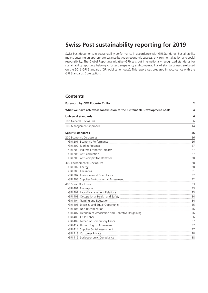## **Swiss Post sustainability reporting for 2019**

Swiss Post documents its sustainability performance in accordance with GRI Standards. Sustainability means ensuring an appropriate balance between economic success, environmental action and social responsibility. The Global Reporting Initiative (GRI) sets out internationally recognized standards for sustainability reporting, helping to foster transparency and comparability. All standards used are based on the 2016 GRI Standards (GRI publication date). This report was prepared in accordance with the GRI Standards Core option.

#### **Contents**

| Foreword by CEO Roberto Cirillo                                          |    |
|--------------------------------------------------------------------------|----|
| What we have achieved: contribution to the Sustainable Development Goals |    |
| <b>Universal standards</b>                                               | 6  |
| 102 General Disclosures                                                  | 6  |
| 103 Management approach                                                  | 14 |
| <b>Specific standards</b>                                                | 26 |
| 200 Economic Disclosures                                                 | 26 |
| GRI 201: Economic Performance                                            | 26 |
| GRI 202: Market Presence                                                 | 27 |
| GRI 203: Indirect Economic Impacts                                       | 27 |
| GRI 205: Anti-corruption                                                 | 27 |
| GRI 206: Anti-competitive Behavior                                       | 28 |
| 300 Environmental Disclosures                                            | 28 |
| GRI 302: Energy                                                          | 28 |
| GRI 305: Emissions                                                       | 31 |
| GRI 307: Environmental Compliance                                        | 32 |
| GRI 308: Supplier Environmental Assessment                               | 32 |
| 400 Social Disclosures                                                   | 33 |
| GRI 401: Employment                                                      | 33 |
| GRI 402: Labor/Management Relations                                      | 33 |
| GRI 403: Occupational Health and Safety                                  | 34 |
| GRI 404: Training and Education                                          | 34 |
| GRI 405: Diversity and Equal Opportunity                                 | 35 |
| GRI 406: Non-discrimination                                              | 36 |
| GRI 407: Freedom of Association and Collective Bargaining                | 36 |
| GRI 408: Child Labor                                                     | 36 |
| GRI 409: Forced or Compulsory Labor                                      | 37 |
| GRI 412: Human Rights Assessment                                         | 37 |
| GRI 414: Supplier Social Assessment                                      | 37 |
| GRI 418: Customer Privacy                                                | 38 |
| GRI 419: Socioeconomic Compliance                                        | 38 |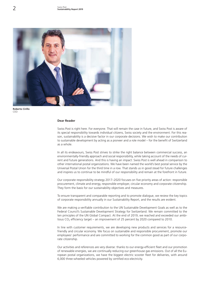



#### **Dear Reader**

Swiss Post is right here. For everyone. That will remain the case in future, and Swiss Post is aware of its special responsibility towards individual citizens, Swiss society and the environment. For this reason, sustainability is a decisive factor in our corporate decisions. We wish to make our contribution to sustainable development by acting as a pioneer and a role model – for the benefit of Switzerland as a whole.

In all its endeavours, Swiss Post strives to strike the right balance between commercial success, an environmentally-friendly approach and social responsibility, while taking account of the needs of current and future generations. And this is having an impact: Swiss Post is well ahead in comparison to other international postal organizations. We have been named the world's best postal service by the Universal Postal Union for the third time in a row. That stands us in good stead for future challenges and inspires us to continue to be mindful of our responsibility and remain at the forefront in future.

Our corporate responsibility strategy 2017–2020 focuses on five priority areas of action: responsible procurement, climate and energy, responsible employer, circular economy and corporate citizenship. They form the basis for our sustainability objectives and measures.

To ensure transparent and comparable reporting and to promote dialogue, we review the key topics of corporate responsibility annually in our Sustainability Report, and the results are evident.

We are making a verifiable contribution to the [UN Sustainable Development Goals](https://www.un.org/sustainabledevelopment/sustainable-development-goals/) as well as to the Federal Council's Sustainable Development Strategy for Switzerland. We remain committed to the ten principles of the [UN Global Compact.](https://www.unglobalcompact.org) At the end of 2019, we reached and exceeded our ambitious  $CO<sub>2</sub>$  efficiency target – an improvement of 25 percent by 2020 compared to 2010.

In line with customer requirements, we are developing new products and services for a resourcefriendly and circular economy. We focus on sustainable and responsible procurement, promote our employees' performance and are committed to working for the common good as part of our corporate citizenship.

Our activities and references are very diverse: thanks to our energy-efficient fleet and our promotion of renewable energies, we are continually reducing our greenhouse gas emissions. Out of all the European postal organizations, we have the biggest electric scooter fleet for deliveries, with around 6,000 three-wheeled vehicles powered by certified eco-electricity.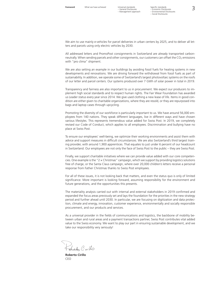We aim to use mainly e-vehicles for parcel deliveries in urban centers by 2025, and to deliver all letters and parcels using only electric vehicles by 2030.

All addressed letters and PromoPost consignments in Switzerland are already transported carbonneutrally. When sending parcels and other consignments, our customers can offset the  $CO<sub>2</sub>$  emissions with "pro clima" shipment.

We are also setting an example in our buildings by avoiding fossil fuels for heating systems in new developments and renovations. We are driving forward the withdrawal from fossil fuels as part of sustainability. In addition, we operate some of Switzerland's largest photovoltaic systems on the roofs of our letter and parcel centers. Our systems produced over 7 GWh of solar power in total in 2019.

Transparency and fairness are also important to us in procurement. We expect our producers to implement high social standards and to respect human rights. The Fair Wear Foundation has awarded us Leader status every year since 2014. We give used clothing a new lease of life. Items in good condition are either given to charitable organizations, where they are resold, or they are repurposed into bags and laptop cases through upcycling.

Promoting the diversity of our workforce is particularly important to us. We have around 56,000 employees from 140 nations. They speak different languages, live in different ways and have chosen various lifestyles. This represents tremendous value added for Swiss Post. In 2019, we completely revised our Code of Conduct, which applies to all employees. Discrimination and bullying have no place at Swiss Post.

To ensure our employees' well-being, we optimize their working environments and assist them with advice and support measures in difficult circumstances. We are also Switzerland's third largest training provider, with around 1,900 apprentices. That equates to just under 6 percent of our headcount in Switzerland. Our employees are not only the face of Swiss Post to the public – they are Swiss Post.

Finally, we support charitable initiatives where we can provide value added with our core competencies. One example is the "2  $\times$  Christmas" campaign, which we support by providing logistics solutions free of charge, or the Santa Claus campaign, where over 20,000 children's letters receive a personal response from Father Christmas thanks to Swiss Post employees.

For all of these issues, it is not looking back that matters, and even the status quo is only of limited significance. More important is looking forward, assuming responsibility for the environment and future generations, and the opportunities this presents.

The materiality analysis carried out with internal and external stakeholders in 2019 confirmed and expanded the focus areas previously set and lays the foundation for the priorities in the new strategy period and further ahead until 2030. In particular, we are focusing on digitization and data protection, climate and energy, innovation, customer experience, environmentally and socially responsible procurement, and our products and services.

As a universal provider in the fields of communications and logistics, the backbone of mobility between urban and rural areas and a payment transactions partner, Swiss Post contributes vital added value to the Swiss economy. We want to play our part in ensuring sustainable development, and we take our responsibility very seriously!

Spet Civillo

**Roberto Cirillo** CEO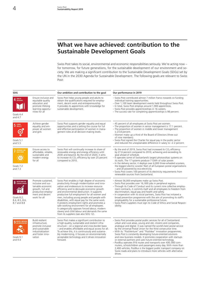## **What we have achieved: contribution to the Sustainable Development Goals**

Swiss Post takes its social, environmental and economic responsibilities seriously. We're acting now – for tomorrow, for future generations, for the sustainable development of our environment and society. We are making a significant contribution to the Sustainable Development Goals (SDGs) set by the UN in the 2030 Agenda for Sustainable Development. The following goals are relevant to Swiss Post:

| <b>SDG</b>                                                     |                                                                                                                                            | Our ambition and contribution to the goal                                                                                                                                                                                                                                                                                                                                                                                                                                                                                                                                                                                           | Our performance in 2019                                                                                                                                                                                                                                                                                                                                                                                                                                                                                                                                                                                                                                                                                                                                                                                                                   |
|----------------------------------------------------------------|--------------------------------------------------------------------------------------------------------------------------------------------|-------------------------------------------------------------------------------------------------------------------------------------------------------------------------------------------------------------------------------------------------------------------------------------------------------------------------------------------------------------------------------------------------------------------------------------------------------------------------------------------------------------------------------------------------------------------------------------------------------------------------------------|-------------------------------------------------------------------------------------------------------------------------------------------------------------------------------------------------------------------------------------------------------------------------------------------------------------------------------------------------------------------------------------------------------------------------------------------------------------------------------------------------------------------------------------------------------------------------------------------------------------------------------------------------------------------------------------------------------------------------------------------------------------------------------------------------------------------------------------------|
| QUALITY<br>EDUCATION<br>Goals 4.4<br>and $4.7$                 | Ensure inclusive and<br>equitable quality<br>education and<br>promote lifelong<br>learning opportu-<br>nities for all                      | Swiss Post helps young people and adults to<br>obtain the qualifications required for employ-<br>ment, decent work and entrepreneurship.<br>It provides its apprentices with knowledge for<br>sustainable development.                                                                                                                                                                                                                                                                                                                                                                                                              | - Swiss Post contributed almost 7 million francs towards co-funding<br>individual training opportunities.<br>- Over 1,100 team development events held throughout Swiss Post.<br>- In total, Swiss Post employs around 1,900 apprentices.<br>- Swiss Post provides apprenticeships in 16 careers.<br>- The success rate for completing apprenticeships is 98 percent.                                                                                                                                                                                                                                                                                                                                                                                                                                                                     |
| 5 GENDER<br>Goals 5.1<br>and 5.5                               | Achieve gender<br>equality and em-<br>power all women<br>and girls                                                                         | Swiss Post supports gender equality and equal<br>opportunities and is setting the course for full<br>and effective participation of women in mana-<br>gement roles at all decision-making levels.                                                                                                                                                                                                                                                                                                                                                                                                                                   | -45 percent of all employees at Swiss Post are women.<br>- The proportion of women in senior management is 17.1 percent.<br>- The proportion of women in middle and lower management<br>is 23.8 percent.<br>- Women make up a third of the Board of Directors (three out<br>of nine members).<br>- Swiss Post signed the Charter for equal pay in the public sector<br>and reduced the unexplainable difference in salary to $-2.2$ percent.                                                                                                                                                                                                                                                                                                                                                                                              |
| AFFORDABLE AND<br>CLEAN ENERGY<br>Goals 7.2<br>and $7.3$       | Ensure access to<br>affordable, reliable,<br>sustainable and<br>modern energy<br>for all                                                   | Swiss Post will continually increase its share of<br>renewable energy and energy efficiency until<br>2030 and beyond. By the end of 2020, it aims<br>to increase its CO <sub>2</sub> efficiency by over 25 percent<br>compared to 2010.                                                                                                                                                                                                                                                                                                                                                                                             | $-$ By the end of 2019, Swiss Post had increased its $CO2$ efficiency<br>by 27.6 percent compared to 2010, achieving and exceeding its<br>goal ahead of schedule.<br>- It operates some of Switzerland's largest photovoltaic systems on<br>its roofs. The 17 systems produce 7 GWh of solar power.<br>- In the delivery sector, it deploys over 6,000 three-wheeled scooters,<br>the biggest electric scooter fleet of all European postal organizations<br>- and all powered by eco-electricity.<br>- Swiss Post covers 100 percent of its electricity requirements from<br>renewable sources from Switzerland.                                                                                                                                                                                                                         |
| DECENT WORK AND<br>Goals 8.2,<br>8.4, 8.5, 8.6,<br>8.7 and 8.8 | Promote sustained,<br>inclusive and sus-<br>tainable economic<br>growth, full and<br>productive employ-<br>ment and decent<br>work for all | Swiss Post enables a high degree of economic<br>productivity through modernization and inno-<br>vation and endeavours to increase resource<br>efficiency and to decouple economic growth<br>and environmental destruction. It supports<br>productive full employment for all women and<br>men, including young people and people with<br>disabilities, with equal pay for the same work.<br>It protects employment rights and promotes a<br>safe working environment for all employees.<br>It categorically opposes forced labour, modern<br>slavery and child labour and demands the same<br>from its suppliers (see also SDG 12). | - Almost 56,000 employees make up Swiss Post.<br>- Swiss Post provides over 16,000 jobs in peripheral regions.<br>- Through its Code of Conduct and its current nine collective employ-<br>ment contracts, it commits itself and all employees to freedom from<br>discrimination, equal pay and health and safety.<br>- In cooperation with its social partners, Swiss Post has initiated a<br>broad prevention programme with the aim of promoting its staff's<br>employability for a sustainable professional future.<br>- Swiss Post's suppliers must sign its Code of Ethics and Social Respon-<br>sibility.                                                                                                                                                                                                                          |
| INDUSTRY, INNOVATION<br>Goals 9.1<br>and 9.4                   | <b>Build resilient</b><br>infrastructure,<br>promote inclusive<br>and sustainable<br>industrialization<br>and foster inno-<br>vation       | Swiss Post makes a significant contribution to<br>a high-quality, sustainable and resilient infra-<br>structure - on a regional and cross-border basis<br>- and enables affordable and equal access for all.<br>To achieve this, it is continuously and sustaina-<br>bly modernizing, it focuses on environmentally<br>acceptable technology and it drives innovation<br>forward.                                                                                                                                                                                                                                                   | - Swiss Post provides postal public services for all of Switzerland:<br>urban and rural areas, young and old, citizens and companies,<br>analogue and digital. It was named the world's best postal service<br>by the Universal Postal Union for the third consecutive time.<br>- With its "PostVenture" and "Postidea" innovation programmes,<br>Swiss Post is constantly developing future-oriented solutions<br>and new business models. It promotes cooperation with startups<br>or external partners and uses future-oriented technology.<br>- PostBus operates 916 routes and transports over 430,000 com-<br>muters, schoolchildren and passengers every day. With more than<br>2,400 vehicles, PostBus is the biggest public transport company on<br>Swiss roads and plans to introduce more vehicles with alternative<br>drives. |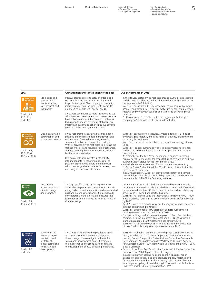– General Disclosures – Management approach

Foreword **What we have achieved** Universal standards Specific standards<br>
– General Disclosures – Economic Disclosures<br>
– Management approach – Expirantion States (Sclosures – Social Disclosures<br>
– Social Disclosures

| <b>SDG</b>                                                                     |                                                                                                                              | Our ambition and contribution to the goal                                                                                                                                                                                                                                                                                                                                                                                                                                                                                                                                                                                  | Our performance in 2019                                                                                                                                                                                                                                                                                                                                                                                                                                                                                                                                                                                                                                                                                                                                                                                                                                                                                                                                                                                                     |
|--------------------------------------------------------------------------------|------------------------------------------------------------------------------------------------------------------------------|----------------------------------------------------------------------------------------------------------------------------------------------------------------------------------------------------------------------------------------------------------------------------------------------------------------------------------------------------------------------------------------------------------------------------------------------------------------------------------------------------------------------------------------------------------------------------------------------------------------------------|-----------------------------------------------------------------------------------------------------------------------------------------------------------------------------------------------------------------------------------------------------------------------------------------------------------------------------------------------------------------------------------------------------------------------------------------------------------------------------------------------------------------------------------------------------------------------------------------------------------------------------------------------------------------------------------------------------------------------------------------------------------------------------------------------------------------------------------------------------------------------------------------------------------------------------------------------------------------------------------------------------------------------------|
| SUSTAINABLE CITIES<br>AND COMMUNITIES<br>Goals 11.2,<br>11.3, 11.a<br>and 11.6 | Make cities and<br>human settle-<br>ments inclusive,<br>safe, resilient and<br>sustainable                                   | PostBus creates access to safe, affordable and<br>sustainable transport systems for all through<br>its public transport. The company is constantly<br>improving safety on the roads, with particular<br>emphasis on people with special needs.<br>Swiss Post contributes to more inclusive and sus-<br>tainable urban development and creates positive<br>links between urban, suburban and rural areas.<br>It is aiming to reduce environmental pollution,<br>improve air quality and achieve positive develop-<br>ments in waste management in cities.                                                                   | - In the delivery sector, Swiss Post uses around 6,000 electric scooters<br>and delivers all addressed and unaddressed letter mail in Switzerland<br>carbon-neutrally (2.8 billion).<br>$-$ Swiss Post ensures low-CO <sub>2</sub> delivery over the last mile with electric<br>scooters and cargo bikes, reduces empty runs by collecting recyclable<br>material and works with bakeries and farmers to deliver regional<br>products.<br>- PostBus operates 916 routes and is the biggest public transport<br>company on Swiss roads, with over 2,400 vehicles.                                                                                                                                                                                                                                                                                                                                                                                                                                                            |
| Goals 12.1,<br>12.2, 12.6,<br>12.7 and 12.8                                    | Ensure sustainable<br>consumption and<br>production patterns                                                                 | Swiss Post promotes sustainable consumption<br>patterns and the sustainable management and<br>efficient use of natural resources, as well as<br>sustainable public procurement procedures.<br>With its services, Swiss Post helps to increase the<br>frequency of use and recycling rate of resources,<br>thereby ensuring that consumption in Switzer-<br>land is more sustainable.<br>It systematically incorporates sustainability<br>information into its reporting and, as far as<br>possible, provides customers and employees<br>with knowledge about sustainable development<br>and living in harmony with nature. | - Swiss Post collects coffee capsules, Swisscom routers, PET bottles<br>and packaging material, and used items of clothing, enabling them<br>to be recycled and reused.<br>- Swiss Post uses its old scooter batteries in stationary energy storage<br>units.<br>- Swiss Post includes sustainability criteria in its invitations to tender<br>and has carried out a risk assessment of 32 percent of its procure-<br>ment volume.<br>- As a member of the Fair Wear Foundation, it adheres to compre-<br>hensive social standards for the manufacture of its clothing and was<br>awarded Leader status for the sixth time in a row.<br>- In the independent evaluation of its corporate management by<br>EcoVadis, Swiss Post obtained the "Gold" award. This puts it in the<br>top 5 percent worldwide.<br>- In its Annual Report, Swiss Post provides transparent and compre-<br>hensive information about sustainability aspects in accordance with<br>the standards of the Global Reporting Initiative.                |
| $13$ $\frac{\text{CUMIR}}{\text{ACHON}}$<br>Goals 13.1,<br>13.2 and 13.3       | Take urgent<br>action to combat<br>climate change<br>and its impacts                                                         | Through its efforts and by raising awareness<br>about climate protection, Swiss Post is strength-<br>ening resilience and adaptability to climate-related<br>risks and natural catastrophes. It systematically<br>incorporates climate protection measures into<br>its strategies and planning and helps to mitigate<br>climate change.                                                                                                                                                                                                                                                                                    | - Around 45 percent of all vehicles are powered by alternative drive<br>systems (gas-powered and electric vehicles): more than 6,000 electric<br>three-wheeled scooters, 30 electric vans in letter and parcel delivery<br>services and 61 hybrid and electric Postbuses.<br>- Swiss Post has signed up to the international initiative EV100 "100%<br>Electric Vehicles" and aims to use only electric vehicles for deliveries<br>by 2030.<br>- By 2025, Swiss Post aims to carry out the majority of parcel deliveries<br>in urban centers using e-vehicles.<br>- Swiss Post aims to replace 90 percent of all fossil fuel-powered<br>heating systems in its own buildings by 2030.<br>- For new buildings and modernization projects, Swiss Post has been<br>committed to the integrated and sustainable DGNB construction<br>standard as adapted for Switzerland since January 2019.<br>- Swiss Post has invested over 18 million francs from the Swiss Post<br>climate fund in climate protection measures since 2010. |
| <b>17</b> PARTNERSHIPS<br><b>Goals 17.6</b><br>and 17.7                        | Strengthen the<br>means of imple-<br>mentation and<br>revitalize the<br>global partnership<br>for sustainable<br>development | Swiss Post is expanding the global partnership<br>for sustainable development and supports<br>the exchange of knowledge to achieve the<br>sustainable development goals. It promotes<br>the maintenance of existing partnerships and<br>the development of new effective partnerships.                                                                                                                                                                                                                                                                                                                                     | - Swiss Post maintains numerous partnerships for sustainable develop-<br>ment, including the UN Global Compact, Association for Environ-<br>mentally Sound Energy, öbu (Swiss Business Council for Sustainable<br>Development), "Klimaplattform der Wirtschaft" (Climate Platform<br>for Business), RE100 (100% Renewable Electricity) and EV100 (100%<br>Electric Vehicles).<br>- As part of the Swiss Red Cross's "2 $\times$ Christmas" initiative, Swiss Post<br>transports over 60,000 parcels free of charge.<br>- In cooperation with second-hand shops, municipalities, major<br>distributors and Texaid, it collects products and raw materials and<br>feeds them back into the circular economy. Swiss Post enables the<br>recycling or upcycling of used clothing in cooperation with the Swiss<br>Red Cross and the disability organization BEWO.                                                                                                                                                               |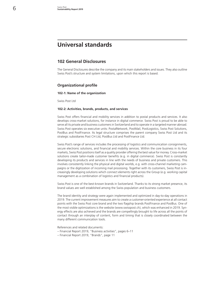## **Universal standards**

#### **102 General Disclosures**

The General Disclosures describe the company and its main stakeholders and issues. They also outline Swiss Post's structure and system limitations, upon which this report is based.

#### **Organizational profile**

#### **102-1: Name of the organization**

Swiss Post Ltd

#### **102-2: Activities, brands, products, and services**

Swiss Post offers financial and mobility services in addition to postal products and services. It also develops cross-market solutions, for instance in digital commerce. Swiss Post is proud to be able to serve all its private and business customers in Switzerland and to operate in a targeted manner abroad. Swiss Post operates six executive units: PostalNetwork, PostMail, PostLogistics, Swiss Post Solutions, PostBus and PostFinance. Its legal structure comprises the parent company Swiss Post Ltd and its strategic subsidiaries Post CH Ltd, PostBus Ltd and PostFinance Ltd.

Swiss Post's range of services includes the processing of logistics and communication consignments, secure electronic solutions, and financial and mobility services. Within the core business in its four markets, Swiss Post positions itself as a quality provider offering the best value for money. Cross-market solutions create tailor-made customer benefits (e.g. in digital commerce). Swiss Post is constantly developing its products and services in line with the needs of business and private customers. This involves consistently linking the physical and digital worlds, e.g. with cross-channel marketing campaigns or the digitization of incoming mail processing. Together with its customers, Swiss Post is increasingly developing solutions which connect elements right across the Group (e.g. working capital management as a combination of logistics and financial products).

Swiss Post is one of the best-known brands in Switzerland. Thanks to its strong market presence, its brand values are well established among the Swiss population and business customers.

The brand identity and strategy were again implemented and optimized in day-to-day operations in 2019. The current improvement measures aim to create a customer-oriented experience at all contact points with the Swiss Post core brand and the two flagship brands PostFinance and PostBus. One of the most visible optimizations is the website (www.swisspost.ch), which was enhanced in 2019. Synergy effects are also achieved and the brands are compellingly brought to life across all the points of contact through an interplay of content, form and timing that is closely coordinated between the many different communication tools.

References and related documents:

- – [Financial Report 2019, "Business activities", pages 6–11](https://geschaeftsbericht.post.ch/19/ar/app/uploads/EN_Post_Finanzbericht_2019.pdf#page=8)
- – [Financial Report 2019, "Brands", page 11](https://geschaeftsbericht.post.ch/19/ar/app/uploads/EN_Post_Finanzbericht_2019.pdf#page=13)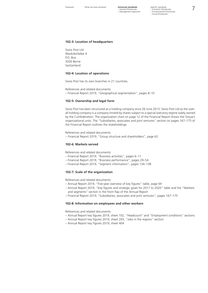#### **102-3: Location of headquarters**

Swiss Post Ltd Wankdorfallee 4 P.O. Box 3030 Berne Switzerland

#### **102-4: Location of operations**

Swiss Post has its own branches in 21 countries.

References and related documents: – [Financial Report 2019, "Geographical segmentation", pages 8–10](https://geschaeftsbericht.post.ch/19/ar/app/uploads/EN_Post_Finanzbericht_2019.pdf#page=10)

#### **102-5: Ownership and legal form**

Swiss Post has been structured as a holding company since 26 June 2013. Swiss Post Ltd as the overall holding company is a company limited by shares subject to a special statutory regime solely owned by the Confederation. The organization chart on page 12 of the Financial Report shows the Group's organizational units. The "Subsidiaries, associates and joint ventures" section on pages 167–175 of the Financial Report outlines the shareholdings.

References and related documents:

– [Financial Report 2019, "Group structure and shareholders", page 62](https://geschaeftsbericht.post.ch/19/ar/app/uploads/EN_Post_Finanzbericht_2019.pdf#page=64)

#### **102-6: Markets served**

References and related documents:

- [Financial Report 2019, "Business activities", pages 6–11](https://geschaeftsbericht.post.ch/19/ar/app/uploads/EN_Post_Finanzbericht_2019.pdf#page=8)
- [Financial Report 2019, "Business performance", pages 29–54](https://geschaeftsbericht.post.ch/19/ar/app/uploads/EN_Post_Finanzbericht_2019.pdf#page=31)
- [Financial Report 2019, "Segment information", pages 134–138](https://geschaeftsbericht.post.ch/19/ar/app/uploads/EN_Post_Finanzbericht_2019.pdf#page=136)

#### **102-7: Scale of the organization**

References and related documents:

- [Annual Report 2019, "Five-year overview of key figures" table, page 69](https://geschaeftsbericht.post.ch/19/ar/app/uploads/EN_Post_Geschaeftsbericht_2019.pdf#page=73)
- [Annual Report 2019, "Key figures and strategic goals for 2017 to 2020" table](https://geschaeftsbericht.post.ch/19/ar/app/uploads/EN_Post_Geschaeftsbericht_2019.pdf#page=3) and the ["Markets](https://geschaeftsbericht.post.ch/19/ar/app/uploads/EN_Post_Geschaeftsbericht_2019.pdf#page=2)  [and segments"](https://geschaeftsbericht.post.ch/19/ar/app/uploads/EN_Post_Geschaeftsbericht_2019.pdf#page=2) section in the front flap of the Annual Report
- [Financial Report 2019, "Subsidiaries, associates and joint ventures", pages 167–175](https://geschaeftsbericht.post.ch/19/ar/app/uploads/EN_Post_Finanzbericht_2019.pdf#page=168)

#### **102-8: Information on employees and other workers**

References and related documents:

- [Annual Report key figures 2019, sheet 102, "Headcount" and "Employment conditions" sections](https://geschaeftsbericht.post.ch/19/ar/app/uploads/EN_Post_Kennzahlen_2019.xlsx)
- [Annual Report key figures 2019, sheet 203, "Jobs in the regions" section](https://geschaeftsbericht.post.ch/19/ar/app/uploads/EN_Post_Kennzahlen_2019.xlsx)
- [Annual Report key figures 2019, sheet 404](https://geschaeftsbericht.post.ch/19/ar/app/uploads/EN_Post_Kennzahlen_2019.xlsx)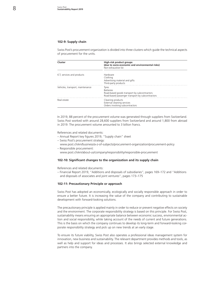#### **102-9: Supply chain**

Swiss Post's procurement organization is divided into three clusters which guide the technical aspects of procurement for the units.

| Cluster                          | High-risk product groups<br>(due to socio-economic and environmental risks)<br>Non-exhaustive list                            |  |
|----------------------------------|-------------------------------------------------------------------------------------------------------------------------------|--|
| ICT, services and products       | Hardware<br>Clothing<br>Advertising material and gifts<br>Third-party products                                                |  |
| Vehicles, transport, maintenance | Tyres<br><b>Batteries</b><br>Road-based goods transport by subcontractors<br>Road-based passenger transport by subcontractors |  |
| Real estate                      | Cleaning products<br>External cleaning services<br>Orders involving subcontractors                                            |  |

In 2019, 88 percent of the procurement volume was generated through suppliers from Switzerland. Swiss Post worked with around 28,600 suppliers from Switzerland and around 1,800 from abroad in 2019. The procurement volume amounted to 3 billion francs.

References and related documents:

- – [Annual Report key figures 2019, "Supply chain" sheet](https://geschaeftsbericht.post.ch/19/ar/app/uploads/EN_Post_Kennzahlen_2019.xlsx)
- Swiss Post's procurement strategy:
- www.post.ch/en/business/a-z-of-subjects/procurement-organization/procurement-policy – Responsible procurement:
	- www.post.ch/en/about-us/company/responsibility/responsible-procurement

#### **102-10: Significant changes to the organization and its supply chain**

References and related documents:

– [Financial Report 2019, "Additions and disposals of subsidiaries", pages 169–172](https://geschaeftsbericht.post.ch/19/ar/app/uploads/EN_Post_Finanzbericht_2019.pdf#page=171
) and ["Additions](https://geschaeftsbericht.post.ch/19/ar/app/uploads/EN_Post_Finanzbericht_2019.pdf#page=175
)  [and disposals of associates and joint ventures", pages 173–175](https://geschaeftsbericht.post.ch/19/ar/app/uploads/EN_Post_Finanzbericht_2019.pdf#page=175
)

#### **102-11: Precautionary Principle or approach**

Swiss Post has adopted an economically, ecologically and socially responsible approach in order to ensure a better future. It is increasing the value of the company and contributing to sustainable development with forward-looking solutions.

The precautionary principle is applied mainly in order to reduce or prevent negative effects on society and the environment. The corporate responsibility strategy is based on this principle. For Swiss Post, sustainability means ensuring an appropriate balance between economic success, environmental action and social responsibility, while taking account of the needs of current and future generations. This is the basis on which the company continues to develop its long-term and forward-looking corporate responsibility strategy and pick up on new trends at an early stage.

To ensure its future viability, Swiss Post also operates a professional ideas management system for innovation, new business and sustainability. The relevant department provides methods and tools, as well as help and support for ideas and processes. It also brings selected external knowledge and partners into the company.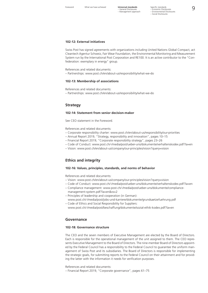#### **102-12: External initiatives**

Swiss Post has signed agreements with organizations including United Nations Global Compact, act Cleantech Agentur Schweiz, Fair Wear Foundation, the Environmental Monitoring and Measurement System run by the International Post Corporation and RE100. It is an active contributor to the "Confederation: exemplary in energy" group.

References and related documents:

– Partnerships: www.post.ch/en/about-us/responsibility/what-we-do

#### **102-13: Membership of associations**

References and related documents:

– Partnerships: www.post.ch/en/about-us/responsibility/what-we-do

#### **Strategy**

#### **102-14: Statement from senior decision-maker**

See CEO statement in the Foreword.

References and related documents:

- Corporate responsibility charter: www.post.ch/en/about-us/responsibility/our-priorities
- [Annual Report 2019, "Strategy, responsibility and innovation", pages 10–15](https://geschaeftsbericht.post.ch/19/ar/app/uploads/EN_Post_Geschaeftsbericht_2019.pdf#page=14
)
- [Financial Report 2019, "Corporate responsibility strategy", pages 23–26](https://geschaeftsbericht.post.ch/19/ar/app/uploads/EN_Post_Finanzbericht_2019.pdf#page=25
)
- Code of Conduct: www.post.ch/-/media/post/ueber-uns/dokumente/verhaltenskodex.pdf?la=en
- Vision: www.post.ch/en/about-us/company/our-principles/vision?query=vision

#### **Ethics and integrity**

#### **102-16: Values, principles, standards, and norms of behavior**

References and related documents:

- Vision: www.post.ch/en/about-us/company/our-principles/vision?query=vision
- Code of Conduct: www.post.ch/-/media/post/ueber-uns/dokumente/verhaltenskodex.pdf?la=en
- Compliance management: [www.post.ch/-/media/post/ueber-uns/dokumente/compliance](http://www.post.ch/-/media/post/ueber-uns/dokumente/compliance-management-system.pdf?la=en&vs=2)[management-system.pdf?la=en&vs=2](http://www.post.ch/-/media/post/ueber-uns/dokumente/compliance-management-system.pdf?la=en&vs=2)
- [Principles of leadership and cooperation \(in German\):](http://www.post.ch/-/media/post/ueber-uns/dokumente/compliance-management-system.pdf?la=en&vs=2)
- [www.post.ch/-/media/post/jobs-und-karriere/dokumente/grundsaetzefuehrung.pdf](http://www.post.ch/-/media/post/jobs-und-karriere/dokumente/grundsaetzefuehrung.pdf) – Code of Ethics and Social Responsibility for Suppliers:
- [www.post.ch/-/media/post/beschaffung/dokumente/sozial-ethik-kodex.pdf?la=en](http://www.post.ch/-/media/post/beschaffung/dokumente/sozial-ethik-kodex.pdf)

#### **Governance**

#### **102-18: Governance structure**

The CEO and the seven members of Executive Management are elected by the Board of Directors. Each is responsible for the operational management of the unit assigned to them. The CEO represents Executive Management to the Board of Directors. The nine-member Board of Directors appointed by the Federal Council has a responsibility to the Federal Council to guarantee the uniform management of Swiss Post and its subsidiaries. The Board of Directors is responsible for implementing the strategic goals, for submitting reports to the Federal Council on their attainment and for providing the latter with the information it needs for verification purposes.

References and related documents:

– [Financial Report 2019, "Corporate governance", pages 61–75](https://geschaeftsbericht.post.ch/19/ar/app/uploads/EN_Post_Finanzbericht_2019.pdf#page=63
)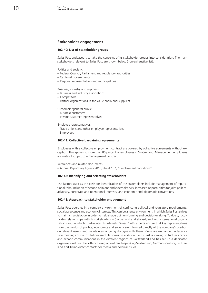#### **Stakeholder engagement**

#### **102-40: List of stakeholder groups**

Swiss Post endeavours to take the concerns of its stakeholder groups into consideration. The main stakeholders relevant to Swiss Post are shown below (non-exhaustive list):

Politics and society:

- Federal Council, Parliament and regulatory authorities
- Cantonal governments
- Regional representatives and municipalities

Business, industry and suppliers:

- Business and industry associations
- Competitors
- Partner organizations in the value chain and suppliers

Customers/general public:

- Business customers
- Private customer representatives

Employee representatives:

- Trade unions and other employee representatives
- Employees

#### **102-41: Collective bargaining agreements**

Employees with a collective employment contract are covered by collective agreements without exception. This applies to more than 85 percent of employees in Switzerland. Management employees are instead subject to a management contract.

References and related documents:

– [Annual Report key figures 2019, sheet 102, "Employment conditions"](https://geschaeftsbericht.post.ch/19/ar/app/uploads/EN_Post_Kennzahlen_2019.xlsx
)

#### **102-42: Identifying and selecting stakeholders**

The factors used as the basis for identification of the stakeholders include management of reputational risks, inclusion of second opinions and external views, increased opportunities for joint political advocacy, corporate and operational interests, and economic and diplomatic conventions.

#### **102-43: Approach to stakeholder engagement**

Swiss Post operates in a complex environment of conflicting political and regulatory requirements, social acceptance and economic interests. This can be a tense environment, in which Swiss Post strives to maintain a dialogue in order to help shape opinion-forming and decision-making. To do so, it cultivates relationships with its stakeholders in Switzerland and abroad, and with international organizations within which it advocates its interests. Swiss Post's experts ensure that key representatives from the worlds of politics, economics and society are informed directly of the company's position on relevant issues, and maintain an ongoing dialogue with them. Views are exchanged in face-toface meetings or via institutionalized platforms. In addition, Swiss Post is looking to further anchor and expand communications in the different regions of Switzerland and has set up a dedicated organizational unit that offers the regions in French-speaking Switzerland, German-speaking Switzerland and Ticino direct contacts for media and political issues.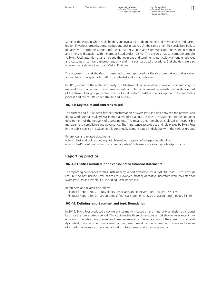Some of the ways in which stakeholders are involved include meetings and membership and participation in various organizations, institutions and initiatives. At the same time, the specialized Politics department, Corporate Center and the Human Resources and Communication units are in regular and intensive discussion with the groups listed under 102-40. This ensures that concerns are brought to Swiss Post's attention at all times and that opinions and sentiments, particularly among employees and customers, can be gathered regularly and in a standardized procedure. Stakeholders are also involved via a stakeholder board (Salon Politique).

The approach to stakeholders is presented to and approved by the decision-making bodies on an annual basis. The approach itself is confidential and is not published.

In 2019, as part of the materiality analysis, 144 stakeholders were directly involved in identifying the material topics, along with 14 external experts and 34 management representatives. A detailed list of the stakeholder groups involved can be found under 102-40, and a description of the materiality process and the results under 102-46 and 102-47.

#### **102-44: Key topics and concerns raised**

The current and future need for the transformation of Swiss Post as a link between the physical and digital worlds remains a key issue in the stakeholder dialogue, as does the customer-oriented ongoing development of the network of access points. This means great emphasis is placed on responsible management, compliance and governance. The importance accorded to and role played by Swiss Post in the public service in Switzerland is continually demonstrated in dialogue with the various groups.

References and related documents:

- Swiss Post and politics: www.post.ch/en/about-us/profile/swiss-post-and-politics
- Swiss Post's positions: www.post.ch/en/about-us/profile/swiss-post-and-politics#positions-

#### **Reporting practice**

#### **102-45: Entities included in the consolidated financial statements**

The reporting boundaries for this Sustainability Report extend to Swiss Post Ltd (Post CH Ltd, PostBus Ltd), but do not include PostFinance Ltd. However, most quantitative indicators were collected for Swiss Post Ltd as a whole, i.e. including PostFinance Ltd.

References and related documents:

- [Financial Report 2019, "Subsidiaries, associates and joint ventures", pages 167–175](https://geschaeftsbericht.post.ch/19/ar/app/uploads/EN_Post_Finanzbericht_2019.pdf#page=169
)
- [Financial Report 2019, "Group annual financial statements, Basis of accounting", pages 84–89](https://geschaeftsbericht.post.ch/19/ar/app/uploads/EN_Post_Finanzbericht_2019.pdf#page=86
)

#### **102-46: Defining report content and topic Boundaries**

In 2019, Swiss Post produced a new relevance matrix – based on the materiality analysis – as a robust basis for the new strategy period. This contains the three dimensions of stakeholder relevance, influence on sustainable development and business relevance. Taking account of the current sustainability context, the assessment was carried out in these three dimensions based on surveys and a series of expert interviews incorporating a total of 192 internal and external opinions.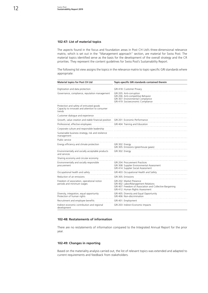#### **102-47: List of material topics**

The aspects found in the focus and foundation areas in Post CH Ltd's three-dimensional relevance matrix, which is set out in the "Management approach" section, are material for Swiss Post. The material topics identified serve as the basis for the development of the overall strategy and the CR priorities. They represent the content guidelines for Swiss Post's Sustainability Report.

The following list view assigns the topics in the relevance matrix to topic-specific GRI standards where appropriate:

| <b>Material topics for Post CH Ltd</b>                                                               | Topic-specific GRI standards contained therein                                                                                                                   |
|------------------------------------------------------------------------------------------------------|------------------------------------------------------------------------------------------------------------------------------------------------------------------|
| Digitization and data protection                                                                     | GRI 418: Customer Privacy                                                                                                                                        |
| Governance, compliance, reputation management                                                        | GRI 205: Anti-corruption<br>GRI 206: Anti-competitive Behavior<br>GRI 307: Environmental Compliance<br>GRI 419: Socioeconomic Compliance                         |
| Protection and safety of entrusted goods<br>Capacity to innovate and attention to consumer<br>trends |                                                                                                                                                                  |
| Customer dialogue and experience                                                                     |                                                                                                                                                                  |
| Growth, value creation and stable financial position                                                 | GRI 201: Economic Performance                                                                                                                                    |
| Professional, effective employees                                                                    | GRI 404: Training and Education                                                                                                                                  |
| Corporate culture and responsible leadership                                                         |                                                                                                                                                                  |
| Sustainable business strategy, risk and resilience<br>management                                     |                                                                                                                                                                  |
| Public service                                                                                       |                                                                                                                                                                  |
| Energy efficiency and climate protection                                                             | GRI 302: Energy<br>GRI 305: Emissions (greenhouse gases)                                                                                                         |
| Environmentally and socially acceptable products<br>and services                                     | GRI 302: Energy                                                                                                                                                  |
| Sharing economy and circular economy                                                                 |                                                                                                                                                                  |
| Environmentally and socially responsible<br>procurement                                              | GRI 204: Procurement Practices<br>GRI 308: Supplier Environmental Assessment<br>GRI 414: Supplier Social Assessment                                              |
| Occupational health and safety                                                                       | GRI 403: Occupational Health and Safety                                                                                                                          |
| Reduction of air emissions                                                                           | GRI 305: Emissions                                                                                                                                               |
| Freedom of association, operational notice<br>periods and minimum wages                              | GRI 202: Market Presence<br>GRI 402: Labor/Management Relations<br>GRI 407: Freedom of Association and Collective Bargaining<br>GRI 412: Human Rights Assessment |
| Diversity, integration, equal opportunity<br>Protection of human rights                              | GRI 405: Diversity and Equal Opportunity<br>GRI 406: Non-discrimination                                                                                          |
| Recruitment and employee benefits                                                                    | GRI 401: Employment                                                                                                                                              |
| Indirect economic contribution and regional<br>development                                           | GRI 203: Indirect Economic Impacts                                                                                                                               |

#### **102-48: Restatements of information**

There are no restatements of information compared to the Integrated Annual Report for the prior year.

#### **102-49: Changes in reporting**

Based on the materiality analysis carried out, the list of relevant topics was extended and adapted to current requirements and feedback from stakeholders.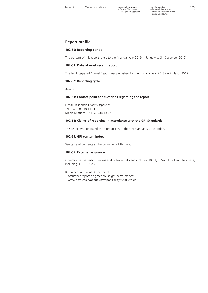– General Disclosures – Management approach

Foreword What we have achieved **Universal standards** Specific standards<br>
– General Disclosures – Economic Disclosures<br>
– Management approach – Expirantion States – Social Disclosures<br>
– Social Disclosures Specific standards

#### **Report profile**

#### **102-50: Reporting period**

The content of this report refers to the financial year 2019 (1 January to 31 December 2019).

#### **102-51: Date of most recent report**

The last Integrated Annual Report was published for the financial year 2018 on 7 March 2019.

#### **102-52: Reporting cycle**

Annually.

#### **102-53: Contact point for questions regarding the report**

E-mail: [responsibility@swisspost.ch](mailto:responsibility%40swisspost.ch?subject=) Tel.: +41 58 338 11 11 Media relations: +41 58 338 13 07

#### **102-54: Claims of reporting in accordance with the GRI Standards**

This report was prepared in accordance with the GRI Standards Core option.

#### **102-55: GRI content index**

See table of contents at the beginning of this report.

#### **102-56: External assurance**

Greenhouse gas performance is audited externally and includes: 305-1, 305-2, 305-3 and their basis, including 302-1, 302-2.

References and related documents:

– Assurance report on greenhouse gas performance: www.post.ch/en/about-us/responsibility/what-we-do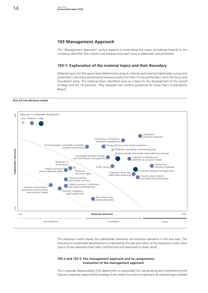#### **103 Management Approach**

The "Management Approach" section explains in more detail the issues considered material to the company, identifies their impact and assesses how each issue is addressed and promoted.

#### **103-1: Explanation of the material topics and their Boundary**

Material topics for the report were determined using an internal and external stakeholder survey and presented in the three-dimensional relevance matrix for Post CH Ltd and PostBus Ltd in the focus and foundation areas. The material topics identified serve as a basis for the development of the overall strategy and the CR priorities. They represent the content guidelines for Swiss Post's Sustainability Report.

#### **Post CH Ltd relevance matrix**



The relevance matrix shows the stakeholder relevance and business relevance in the two axes. The relevance to sustainable development is indicated by the size and colour of the respective circles. Nine topics of low relevance have been omitted and not examined in closer detail.

#### **103-2 and 103-3: The management approach and its components; evaluation of the management approach**

The Corporate Responsibility (CR) department is responsible for coordinating and implementing the Group's corporate responsibility strategy. It also helps the units to implement all material topics related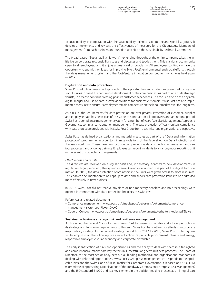Foreword What we have achieved **Universal standards** Specific standards<br>
- General Disclosures - Comming Disclosures<br>
Man Mexico and Disclosures - Comming Disclosures Specific standards – Economic Disclosures – Environmental Disclosures – Social Disclosures

to sustainability. In cooperation with the Sustainability Technical Committee and specialist groups, it develops, implements and reviews the effectiveness of measures for the CR strategy. Members of management from each business and function unit sit on the Sustainability Technical Committee.

The broad-based "Sustainability Network", extending throughout the entire company, takes the initiative on corporate responsibility issues and discusses and tackles them. This is a vibrant community open to all employees, and it enjoys a great deal of popularity. All employees continually have the opportunity to submit their ideas for improving Swiss Post's environmental and social efforts through the ideas management system and the PostVenture innovation competition, which was held again in 2019.

#### **Digitization and data protection**

Swiss Post adopts a far-sighted approach to the opportunities and challenges presented by digitization. It drives forward the continuous development of the core business as part of one of its strategic thrusts, in order to continue creating positive customer experiences. The focus is also on the physicaldigital merger and use of data, as well as solutions for business customers. Swiss Post has also implemented measures to ensure its employees remain competitive on the labour market over the long term.

As a result, the requirements for data protection are ever greater. Protection of customer, supplier and employee data has been part of the Code of Conduct for all employees and an integral part of Swiss Post's compliance management system for a number of years (see also Management Approach: Governance, compliance, reputation management). The data protection officer monitors compliance with data protection provisions within Swiss Post Group from a technical and organizational perspective.

Swiss Post has defined organizational and material measures as part of the "Data and information protection" programme, in order to minimize violations of the Federal Act on Data Protection and the associated risks. These measures focus on comprehensive data protection organization and various processes and ongoing training. Employees can report incidents to an anonymous reporting unit in the event of suspected infringements.

#### *Effectiveness and results*

The directives are reviewed on a regular basis and, if necessary, adapted to new developments in regulation, legal precedent, theory and internal Group developments as part of the digital transformation. In 2019, the data protection coordinators in the units were given access to more resources. This enables documentation to be kept up to date and allows data protection issues to be addressed more effectively in new projects.

In 2019, Swiss Post did not receive any fines or non-monetary penalties and no proceedings were opened in connection with data protection breaches at Swiss Post.

References and related documents:

- Compliance management: [www.post.ch/-/media/post/ueber-uns/dokumente/compliance-](http://www.post.ch/-/media/post/ueber-uns/dokumente/compliance-management-system.pdf?la=en&vs=2)
- [management-system.pdf?la=en&vs=2](http://www.post.ch/-/media/post/ueber-uns/dokumente/compliance-management-system.pdf?la=en&vs=2)
- Code of Conduct: www.post.ch/-/media/post/ueber-uns/dokumente/verhaltenskodex.pdf?la=en

#### **Sustainable business strategy, risk and resilience management**

As its owner, the Federal Council expects Swiss Post to pursue sustainable and ethical principles in its strategy and lays down requirements to this end. Swiss Post has outlined its efforts in a corporate responsibility strategy. In the current strategy period from 2017 to 2020, Swiss Post is placing particular emphasis on the following five areas of action: responsible procurement, climate and energy, responsible employer, circular economy and corporate citizenship.

The early identification of risks and opportunities and the ability to deal with them in a far-sighted and comprehensive manner are key factors in successful long-term business practices. The Board of Directors, as the most senior body, sets out all binding methodical and organizational standards in dealing with risks and opportunities. Swiss Post's Group risk management corresponds to the applicable laws and the Swiss Code of Best Practice for Corporate Governance. It is based on COSO ERM (Committee of Sponsoring Organizations of the Treadway Commission: Enterprise Risk Management) and the ISO standard 31000 and is a key element in the decision-making process as an integral part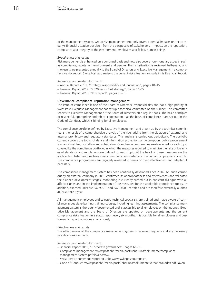of the management system. Group risk management not only covers potential impacts on the company's financial situation but also – from the perspective of stakeholders – impacts on the reputation, compliance and integrity of the environment, employees and fellow human beings.

#### *Effectiveness and results*

Risk management is enhanced on a continual basis and now also covers non-monetary aspects, such as compliance, reputation, environment and people. The risk situation is reviewed half-yearly, and the results are presented annually to the Board of Directors and Executive Management in a comprehensive risk report. Swiss Post also reviews the current risk situation annually in its Financial Report.

References and related documents:

- [Annual Report 2019, "Strategy, responsibility and innovation", pages 10–15](https://geschaeftsbericht.post.ch/19/ar/app/uploads/EN_Post_Geschaeftsbericht_2019.pdf#page=14
)
- [Financial Report 2019, "2020 Swiss Post strategy", pages 16–22](https://geschaeftsbericht.post.ch/19/ar/app/uploads/EN_Post_Finanzbericht_2019.pdf#page=18
)
- [Financial Report 2019, "Risk report", pages 55–59](https://geschaeftsbericht.post.ch/19/ar/app/uploads/EN_Post_Finanzbericht_2019.pdf#page=57
)

#### **Governance, compliance, reputation management**

The issue of compliance is one of the Board of Directors' responsibilities and has a high priority at Swiss Post. Executive Management has set up a technical committee on the subject. This committee reports to Executive Management or the Board of Directors on a regular basis. The basic principles of respectful, appropriate and ethical cooperation – as the basis of compliance – are set out in the Code of Conduct, which is binding for all employees.

The compliance portfolio defined by Executive Management and drawn up by the technical committee is the result of a comprehensive analysis of the risks arising from the violation of external and internal prohibitory and regulatory standards. This analysis is carried out periodically. The portfolio currently covers the topics of data and information protection, anti-corruption, public procurement law, anti-trust law, postal law and subsidy law. Compliance programmes are developed for each topic covered by the compliance portfolio, in which the measures required to minimize the risks of breaches of standards and regulations are defined for each topic. At the heart of these measures are the applicable substantive directives, clear communication, systematic training and appropriate controls. The compliance programmes are regularly reviewed in terms of their effectiveness and adapted if necessary.

The compliance management system has been continually developed since 2016. An audit carried out by an external company in 2018 confirmed its appropriateness and effectiveness and validated the planned development stages. Monitoring is currently carried out in constant dialogue with all affected units and in the implementation of the measures for the applicable compliance topics. In addition, exposed units are ISO 9001- and ISO 14001-certified and are therefore externally audited at least once a year.

All management employees and selected technical specialists are trained and made aware of compliance issues via e-learning training courses, including learning assessments. The compliance management system is thoroughly documented and is accessible to all employees on the intranet. Executive Management and the Board of Directors are updated on developments and the current compliance risk situation in a status report every six months. It is possible for all employees and customers to report violations anonymously.

#### *Effectiveness and results*

The effectiveness of the compliance management system is reviewed regularly and any necessary modifications are made.

#### References and related documents:

- – [Financial Report 2019, "Corporate governance", pages 61–75](https://geschaeftsbericht.post.ch/19/ar/app/uploads/EN_Post_Geschaeftsbericht_2019.pdf#page=63
)
- Compliance management: [www.post.ch/-/media/post/ueber-uns/dokumente/compliance-](http://www.post.ch/-/media/post/ueber-uns/dokumente/compliance-management-system.pdf?la=en&vs=2)
- [management-system.pdf?la=en&vs=2](http://www.post.ch/-/media/post/ueber-uns/dokumente/compliance-management-system.pdf?la=en&vs=2)
- Swiss Post's anonymous reporting unit: www.swisspostcourage.ch
- Code of Conduct: www.post.ch/-/media/post/ueber-uns/dokumente/verhaltenskodex.pdf?la=en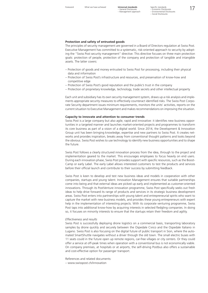Foreword What we have achieved **Universal standards** Specific standards<br>
- General Disclosures - Coopmic Disclosures<br> **17** Specific standards – Economic Disclosures – Environmental Disclosures – Social Disclosures

#### **Protection and safety of entrusted goods**

The principles of security management are governed in a Board of Directors regulation at Swiss Post. Executive Management has committed to a systematic, risk-oriented approach to security by adopting the "Swiss Post security management" directive. This directive focuses on three main protection goals: protection of people, protection of the company and protection of tangible and intangible assets. The latter covers:

- Protection of goods and money entrusted to Swiss Post for processing, including their physical data and information
- Protection of Swiss Post's infrastructure and resources, and preservation of know-how and competitive edge
- Protection of Swiss Post's good reputation and the public's trust in the company
- Protection of proprietary knowledge, technology, trade secrets and other intellectual property

Each unit and subsidiary has its own security management system, draws up a risk analysis and implements appropriate security measures to effectively counteract identified risks. The Swiss Post Corporate Security department issues minimum requirements, monitors the units' activities, reports on the current situation to Executive Management and makes recommendations on improving the situation.

#### **Capacity to innovate and attention to consumer trends**

Swiss Post is a large company but also agile, rapid and innovative: it identifies new business opportunities in a targeted manner and launches market-oriented projects and programmes to transform its core business as part of a vision of a digital world. Since 2014, the Development & Innovation Group unit has been bringing knowledge, expertise and new partners to Swiss Post. It creates networks and provides inspiration, breaks away from conventional thought patterns and looks beyond the obvious. Swiss Post wishes to use technology to identify new business opportunities and to shape the future.

Swiss Post follows a clearly structured innovation process from the idea, through to the project and implementation geared to the market. This encourages employees to focus heavily on end users. During each innovation phase, Swiss Post provides support with specific resources, such as the Boost-Camp or early Label. The early Label allows interested customers to test the products and services before their official launch and contribute to their success by submitting feedback.

Swiss Post is keen to develop and test new business ideas and models in cooperation with other companies, startups and young talent. Innovation Management ensures that suitable partnerships come into being and that external ideas are picked up early and implemented as customer-oriented innovations. Through its PostVenture innovation programme, Swiss Post specifically seeks out fresh ideas to help drive forward its range of products and services in its strategic business development areas. Swiss Post enters into partnerships with young talent and entrepreneurial spirits who want to capture the market with new business models, and provides these young entrepreneurs with expert help in the implementation of interesting projects. With its corporate venturing programme, Swiss Post taps into additional know-how by acquiring interests in selected fledgling companies. In doing so, it focuses on minority interests to ensure that the startups retain their freedom and agility.

#### *Effectiveness and results*

Swiss Post is successfully deploying drone logistics on a commercial basis, transporting laboratory samples by drone quickly and securely between the Ospedale Civico and the Ospedale Italiano in Lugano. Swiss Post is also focusing on the digital future of public transport in Sion, where the automated SmartShuttle navigates without a driver through the old town. The small electric buses with 11 seats could in the future open up remote regions, car-free villages or city centers. Or they could offer a service at off-peak times when operation with a conventional bus is not economically viable. On company premises, at hospitals or at airports, the self-driving Postbus also offers a sustainable and cost-effective option for passenger transport.

References and related documents:

– www.swisspost.ch/innovation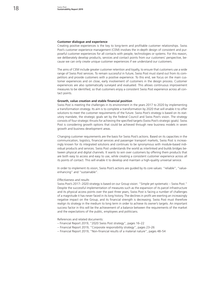#### **Customer dialogue and experience**

Creating positive experiences is the key to long-term and profitable customer relationships. Swiss Post's customer experience management (CEM) involves the in-depth design of consistent and purposeful customer experiences for all contacts with people, technologies or systems. For this reason, we deliberately develop products, services and contact points from our customers' perspective, because we can only create unique customer experiences if we understand our customers.

The aims of CEM include greater customer retention and loyalty, to ensure that customers use a wide range of Swiss Post services. To remain successful in future, Swiss Post must stand out from its competitors and provide customers with a positive experience. To this end, we focus on the main customer experiences and on close, early involvement of customers in the design process. Customer experiences are also systematically surveyed and evaluated. This allows continuous improvement measures to be identified, so that customers enjoy a consistent Swiss Post experience across all contact points.

#### **Growth, value creation and stable financial position**

Swiss Post is meeting the challenges in its environment in the years 2017 to 2020 by implementing a transformation strategy. Its aim is to complete a transformation by 2020 that will enable it to offer solutions to meet the customer requirements of the future. Swiss Post's strategy is based on its statutory mandate, the strategic goals set by the Federal Council and Swiss Post's vision. The strategy consists of four strategic thrusts for achieving the specified targets (Swiss Post's strategic goals). Swiss Post is considering growth options that could be achieved through new business models in seven growth and business development areas.

Changing customer requirements are the basis for Swiss Post's actions. Based on its capacities in the communication, logistics, financial services and passenger transport markets, Swiss Post is increasingly known for its integrated solutions and continues to be synonymous with module-based individual products and services. Swiss Post understands the world as interlinked and builds bridges between physical and digital channels. It wants to win over customers by offering them products that are both easy to access and easy to use, while creating a consistent customer experience across all its points of contact. This will enable it to develop and maintain a high-quality universal service.

In order to implement its vision, Swiss Post's actions are guided by its core values: "reliable", "valueenhancing" and "sustainable".

#### *Effectiveness and results*

Swiss Post's 2017–2020 strategy is based on our Group vision: "Simple yet systematic – Swiss Post." Despite the successful implementation of measures such as the expansion of its parcel infrastructure and its physical access points over the past three years, Swiss Post is facing a number of challenges of a magnitude it has never faced in its long history. The declines in profit are exerting an increasingly negative impact on the Group, and its financial strength is decreasing. Swiss Post must therefore realign its strategy in the medium to long term in order to achieve its owner's targets. An important success factor in this will be the achievement of a balance between the requirements of the market and the expectations of the public, employees and politicians.

References and related documents:

- – [Financial Report 2019, "2020 Swiss Post strategy", pages 16–22](https://geschaeftsbericht.post.ch/19/ar/app/uploads/EN_Post_Finanzbericht_2019.pdf#page=18
)
- [Financial Report 2019, "Corporate responsibility strategy", pages 23–26](https://geschaeftsbericht.post.ch/19/ar/app/uploads/EN_Post_Finanzbericht_2019.pdf#page=25
)
- [Financial Report 2019, "Non-financial results of a material nature", pages 48–54](https://geschaeftsbericht.post.ch/19/ar/app/uploads/EN_Post_Finanzbericht_2019.pdf#page=50
)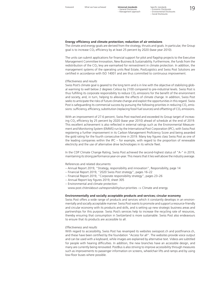– General Disclosures – Management approach

Foreword What we have achieved **Universal standards** Specific standards<br>
- General Disclosures - Exercise Transmit Disclosures<br> **19** Specific standards – Economic Disclosures – Environmental Disclosures – Social Disclosures

#### **Energy efficiency and climate protection; reduction of air emissions**

The climate and energy goals are derived from the strategy, thrusts and goals. In particular, the Group goal is to increase  $CO<sub>2</sub>$  efficiency by at least 25 percent by 2020 (base year 2010).

The units can submit applications for financial support for pilot and flagship projects to the Executive Management Committee Innovation, New Business & Sustainability. Furthermore, the funds from the redistribution of the  $CO<sub>2</sub>$  levy are earmarked for reinvestment in climate protection. In addition, the management systems of the operating units Real Estate, PostLogistics and Swiss Post Solutions are certified in accordance with ISO 14001 and are thus committed to continuous improvement.

#### *Effectiveness and results*

Swiss Post's climate goal is geared to the long term and is in line with the objective of stabilizing global warming to well below 2 degrees Celsius by 2100 compared to pre-industrial levels. Swiss Post is thus fulfilling its corporate responsibility to reduce  $CO<sub>2</sub>$  emissions for the benefit of the environment and society, and, in turn, helping to alleviate the effects of climate change. In addition, Swiss Post seeks to anticipate the risks of future climate change and exploit the opportunities in this regard. Swiss Post is safeguarding its commercial success by pursuing the following priorities in reducing  $CO<sub>2</sub>$  emissions: sufficiency, efficiency, substitution (replacing fossil fuel sources) and offsetting of  $CO<sub>2</sub>$  emissions.

With an improvement of 27.6 percent, Swiss Post reached and exceeded its Group target of increasing CO2 efficiency by 25 percent by 2020 (base year 2010) ahead of schedule at the end of 2019. This excellent achievement is also reflected in external ratings such as the Environmental Measurement and Monitoring System (EMMS) run by the International Post Corporation (IPC), with Swiss Post registering a further improvement in its Carbon Management Proficiency Score and being awarded the gold rating for the fourth consecutive time in 2019. Many key figures class Swiss Post as one of the leading companies within the IPC – for example, with regard to the proportion of renewable electricity and the use of alternative drive technologies in its vehicle fleet.

In the CDP Climate Change Rating, Swiss Post achieved the second-highest status of "A-" in 2019, maintaining its strong performance year-on-year. This means that it lies well above the industry average.

References and related documents:

- [Annual Report 2019, "Strategy, responsibility and innovation", Responsibility, page 14](https://geschaeftsbericht.post.ch/19/ar/app/uploads/EN_Post_Geschaeftsbericht_2019.pdf#page=18
)
- [Financial Report 2019, "2020 Swiss Post strategy", pages 16–22](https://geschaeftsbericht.post.ch/19/ar/app/uploads/EN_Post_Finanzbericht_2019.pdf#page=18)
- [Financial Report 2019, "Corporate responsibility strategy", pages 23–26](https://geschaeftsbericht.post.ch/19/ar/app/uploads/EN_Post_Finanzbericht_2019.pdf#page=25)
- [Annual Report key figures 2019, sheet 305](https://geschaeftsbericht.post.ch/19/ar/app/uploads/EN_Post_Kennzahlen_2019.xlsx
)
- Environmental and climate protection:
- www.post.ch/en/about-us/responsibility/our-priorities –> Climate and energy

#### **Environmentally and socially acceptable products and services; circular economy**

Swiss Post offers a wide range of products and services which it constantly develops in an environmentally and socially acceptable manner. Swiss Post wants to promote and support a resource-friendly and circular economy with its products and skills, and is setting up new strategic business areas and partnerships for this purpose. Swiss Post's services help to increase the recycling rate of resources, thereby ensuring that consumption in Switzerland is more sustainable. Swiss Post also endeavours to ensure that its products are accessible to all.

#### *Effectiveness and results*

With regard to accessibility. Swiss Post has revamped its websites swisspost.ch and postfinance.ch, and these have been certified by the foundation "Access for all". The websites provide voice output and can be used with a keyboard, while images are explained by alternative text. Videos are subtitled for people with hearing difficulties. In addition, the new branches have an accessible design, and many are currently being renovated. PostBus is also striving to improve accessibility through measures such as improvements to passenger information on screens, wheelchair lifts and ramps and by using low-floor buses where possible.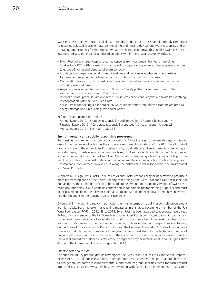Swiss Post uses energy-efficient and climate-friendly products (see 302-5) and is strongly committed to recycling selected reusable materials, repairing and reusing devices and work resources, and encouraging opportunities for sharing (known as the sharing economy). This enables Swiss Post to tap into new logistics potential. Examples of solutions within the circular economy include:

- Swiss Post collects used Nespresso coffee capsules from customers' homes for recycling. It takes back PET bottles, carrier bags and cardboard packaging when exchanging e-food orders (e.g. coop@home) and disposes of them correctly.
- It collects used paper on behalf of municipalities and recovers everyday items and textiles for reuse and recycling in partnership with institutions such as Brocki or Texaid.
- On behalf of Swisscom, Swiss Post collects disused Internet routers and enables them to be reconditioned and reused.
- Anyone borrowing an item such as a drill on the Sharely platform can have it sent to them via the many access points Swiss Post offers.
- Internal disposal processes are optimized. Swiss Post collects and recycles old Swiss Post clothing in cooperation with the Swiss Red Cross.
- Swiss Post is conducting a pilot project in which old batteries from electric scooters are used as energy storage units in buildings with solar panels.

References and related documents:

- – [Annual Report 2019, "Strategy, responsibility and innovation", Responsibility, page 14](https://geschaeftsbericht.post.ch/19/ar/app/uploads/EN_Post_Geschaeftsbericht_2019.pdf#page=18
)
- [Financial Report 2019, "Corporate responsibility strategy", Circular economy, page 25](https://geschaeftsbericht.post.ch/19/ar/app/uploads/EN_Post_Finanzbericht_2019.pdf#page=25)
- [Annual Report 2019, "PostMail", page 33](https://geschaeftsbericht.post.ch/19/ar/app/uploads/EN_Post_Geschaeftsbericht_2019.pdf#page=37
)

#### **Environmentally and socially responsible procurement**

Responsible procurement has been incorporated into Swiss Post's procurement strategy and is also one of the five areas of action in the corporate responsibility strategy 2017–2020. In all product groups and along the entire Swiss Post value chain, social, ethical and environmental criteria play an important role, in particular procurement practices, child and forced labour, human rights and social and environmental assessment of suppliers. On its path to becoming a leading responsible procurement organization, Swiss Post prefers partners who base their business policy on a holistic approach. Unsustainable procurement involves risks along the entire value chain for people, the environment and Swiss Post alike.

Suppliers must sign Swiss Post's Code of Ethics and Social Responsibility or undertake to produce a more far-reaching code of their own. Among other things, the Swiss Post code calls for respect for human rights, the prohibition of child labour, adequate remuneration, and observation of Swiss Post's ecological principles. It also contains contact details for complaints for clothing suppliers and must be displayed on-site in the relevant national language. Social and ecological criteria have been verified during audits in the transport sector since 2016.

Given that in the clothing sector in particular the risks in terms of socially responsible procurement are high, Swiss Post has taken far-reaching measures in this area, becoming a member of the Fair Wear Foundation (FWF) in 2012. Since 2014, Swiss Post has been awarded Leader status every year. By becoming a member of the Fair Wear Foundation, Swiss Post is committed to strict inspection and sustainable implementation of social standards at its clothing suppliers. In low-risk countries, which account for 75 percent of the procurement volume, both social standards inspections and training on the Code of Ethics and Social Responsibility and the Fair Wear Foundation's Code of Labour Practices are conducted at factories every three years by Swiss Post itself. In the high-risk countries of Bulgaria (20 percent) and Jordan (5 percent), the inspection work and training are carried out by the Fair Wear Foundation itself or by Better Work, a programme by the International Labour Organization (ILO) and the International Finance Corporation (IFC).

#### *Effectiveness and results*

The suppliers of key product groups have signed the Swiss Post Code of Ethics and Social Responsibility. Since 2017, all public invitations to tender and the procurement criteria catalogue have contained general corporate responsibility criteria and product group-specific criteria for each product group. Also since 2017, Swiss Post has been working with EcoVadis, an independent organization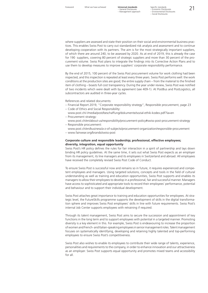where suppliers are assessed and state their position on their social and environmental business practices. This enables Swiss Post to carry out standardized risk analysis and assessment and to continue developing cooperation with its partners. The aim is for the most strategically important suppliers, of which there are around 240, to be assessed by 2020. As at end of 2019, this is already the case for 190 suppliers, covering 80 percent of strategic suppliers and more than 30 percent of the procurement volume. Swiss Post plans to integrate the findings into its Corrective Action Plans and to use them to develop measures to improve suppliers' corporate responsibility performance.

By the end of 2015, 100 percent of the Swiss Post procurement volume for work clothing had been inspected, and this inspection is repeated at least every three years. Swiss Post performs well: the work conditions at the production sites are good; the entire supply chain – from the material to the finished item of clothing – boasts full cost transparency. During the year under review, Swiss Post was notified of two incidents which were dealt with by agreement (see 409-1). At PostBus and PostLogistics, all subcontractors are audited in three-year cycles.

References and related documents:

- [Financial Report 2019, "Corporate responsibility strategy", Responsible procurement, page 23](https://geschaeftsbericht.post.ch/19/ar/app/uploads/EN_Post_Finanzbericht_2019.pdf#page=25
)
- Code of Ethics and Social Responsibility:
- www.post.ch/-/media/post/beschaffung/dokumente/sozial-ethik-kodex.pdf?la=en Procurement strategy:
- www.post.ch/en/about-us/responsibility/procurement-policy#swiss-post-procurement-strategy – Responsible procurement:
- [www.post.ch/en/business/a-z-of-subjects/procurement-organization/responsible-procurement](http://www.post.ch/de/geschaeftlich/themen-a-z/beschaffungsorganisation-post/verantwortungsvolle-beschaffung) – www.fairwear.org/brands/swiss-post

#### **Corporate culture and responsible leadership; professional, effective employees; diversity, integration, equal opportunity**

Swiss Post's HR policy defines the rules for fair interaction in a spirit of partnership and lays down binding HR policy guidelines. At the same time, it sets out what Swiss Post expects as an employer from its management, its line managers and its employees in Switzerland and abroad. All employees have received the completely revised Swiss Post Code of Conduct.

To ensure Swiss Post is successful now and remains so in future, it requires experienced and competent employees and managers. Using targeted solutions, concepts and tools in the field of cultural understanding as well as training and education opportunities, Swiss Post supports and enables its managers to allow their employees to develop in a professional, fair and successful manner. Managers have access to sophisticated and appropriate tools to record their employees' performance, potential and behaviour and to support their individual development.

Swiss Post attaches great importance to training and education opportunities for employees. At strategic level, the FutureSkills programme supports the development of skills in the digital transformation sphere and improves Swiss Post employees' skills in line with future requirements. Swiss Post's internal Job Center supports employees with retraining if required.

Through its talent management, Swiss Post aims to secure the succession and appointment of key functions in the long term and to support employees with potential in a targeted manner. Promoting diversity is a key element in this. For example, Swiss Post is endeavouring to increase the proportion of women and French- and Italian-speaking employees in senior management roles. Talent management focuses on systematically identifying, developing and retaining highly talented and top-performing employees to ensure Swiss Post's competitiveness.

Swiss Post also wishes to enable its employees to contribute their wide range of talents, experience, personalities and requirements to the company, in order to enhance innovation and our attractiveness as an employer. Swiss Post supports equal opportunity and promotes mixed teams and accessibility for all.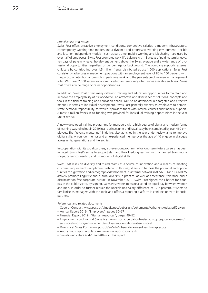#### *Effectiveness and results*

Swiss Post offers attractive employment conditions, competitive salaries, a modern infrastructure, contemporary working time models and a dynamic and progressive working environment. Flexible and location-independent models – such as part-time, mobile working and job sharing – are used by over half of employees. Swiss Post promotes work-life balance with 18 weeks of paid maternity leave, ten days of paternity leave, holiday entitlement above the Swiss average and a wide range of professional opportunities regardless of gender, age or background. The company supports external childcare by contributing over 1.5 million francs distributed across 1,000 applications. Swiss Post consistently advertises management positions with an employment level of 80 to 100 percent, with the particular intention of promoting part-time work and the percentage of women in management roles. With over 2,500 vacancies, apprenticeships or temporary job changes available each year, Swiss Post offers a wide range of career opportunities.

In addition, Swiss Post offers many different training and education opportunities to maintain and improve the employability of its workforce. An attractive and diverse set of solutions, concepts and tools in the field of training and education enable skills to be developed in a targeted and effective manner. In terms of individual development, Swiss Post generally expects its employees to demonstrate personal responsibility, for which it provides them with internal courses and financial support. Almost 7 million francs in co-funding was provided for individual training opportunities in the year under review.

A newly developed training programme for managers with a high degree of digital and modern forms of learning was rolled out in 2019 in all business units and has already been completed by over 460 employees. The "reverse mentoring" initiative, also launched in the year under review, aims to improve digital skills. A younger mentor and an experienced mentee over the age of 40 engage in dialogue across units, generations and hierarchies.

In cooperation with its social partners, a prevention programme for long-term future careers has been initiated. Swiss Post's aim is to support staff and their life-long learning with organized team workshops, career counselling and promotion of digital skills.

Swiss Post relies on diversity and mixed teams as a source of innovation and a means of meeting customer requirements in optimum fashion. In this way, it aims to harness the potential and opportunities of digitization and demographic development. Its internal networks MOSAICO and RAINBOW actively promote linguistic and cultural diversity in practice, as well as acceptance, tolerance and a discrimination-free corporate culture. In November 2019, Swiss Post signed the Charter for equal pay in the public sector. By signing, Swiss Post wants to make a stand on equal pay between women and men. In order to further reduce the unexplained salary difference of –2.2 percent, it wants to familiarize its managers with the topic and offers a reporting platform in conjunction with its social partners.

References and related documents:

- Code of Conduct: www.post.ch/-/media/post/ueber-uns/dokumente/verhaltenskodex.pdf?la=en
- [Annual Report 2019, "Employees", pages 60–67](https://geschaeftsbericht.post.ch/19/ar/app/uploads/EN_Post_Geschaeftsbericht_2019.pdf#page=64)
- [Financial Report 2019, "Human resources", pages 49–52](https://geschaeftsbericht.post.ch/19/ar/app/uploads/EN_Post_Finanzbericht_2019.pdf#page=51
)
- Employment conditions at Swiss Post: [www.post.ch/en/about-us/a-z-of-topics/jobs-and-careers/](http://www.post.ch/en/about-us/a-z-of-topics/jobs-and-careers/swiss-post-working-environment/employment-conditions-at-swiss-post) [swiss-post-working-environment/employment-conditions-at-swiss-post](http://www.post.ch/en/about-us/a-z-of-topics/jobs-and-careers/swiss-post-working-environment/employment-conditions-at-swiss-post)
- Diversity at Swiss Post: www.post.ch/en/jobs/jobs-and-careers/diversity-in-practice
- Anonymous reporting platform: www.swisspostcourage.ch
- See also indicators 404-1 and 404-2 in this report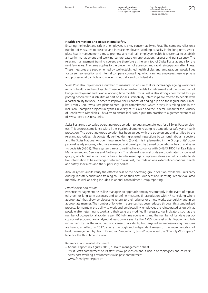– General Disclosures – Management approach

Foreword What we have achieved **Universal standards** Specific standards<br>
- General Disclosures - Commic Disclosures<br>
Man Mexico and Mexico Commic Disclosures Specific standards – Economic Disclosures – Environmental Disclosures – Social Disclosures

#### **Health promotion and occupational safety**

Ensuring the health and safety of employees is a key concern at Swiss Post. The company relies on a number of measures to preserve and increase employees' working capacity in the long term. Workplace health management aims to promote and maintain employee health. It is essential to establish a healthy management and working culture based on appreciation, respect and transparency. The relevant management training courses are therefore at the very top of Swiss Post's agenda for the next few years. The same applies to the prevention of absences and rapid reintegration after illness. These measures are supplemented by well-established health circles and ambassadors, possibilities for career reorientation and internal company counselling, which can help employees resolve private and professional conflicts and concerns neutrally and confidentially.

Swiss Post also implements a number of measures to ensure that its increasingly ageing workforce remains healthy and employable. These include flexible models for retirement and the promotion of bridge employment and flexible working time models. Swiss Post is also strongly committed to supporting people with disabilities as part of social sustainability. Internships are offered to people with a partial ability to work, in order to improve their chances of finding a job on the regular labour market. From 2020, Swiss Post plans to step up its commitment, which is why it is taking part in the Inclusion Champion project run by the University of St. Gallen and the Federal Bureau for the Equality of People with Disabilities. This aims to ensure inclusion is put into practice to a greater extent at all of Swiss Post's business units.

Swiss Post runs a so-called operating group solution to guarantee safe jobs for all Swiss Post employees. This ensures compliance with all the legal requirements relating to occupational safety and health protection. The operating group solution has been agreed with the trade unions and certified by the relevant authorities. It is constantly verified during external inspections by cantonal labour inspectors and the Swiss National Accident Insurance Fund (Suva). It is implemented in the Group units' occupational safety systems, which are managed and developed by trained occupational health and safety specialists (ASGS). These systems are also certified in accordance with OHSAS 18001 at Real Estate Management and Services and PostLogistics. The relevant specialist units are coordinated by specialist groups, which meet on a monthly basis. Regular meetings of representatives are held in order to allow information to be exchanged between Swiss Post, the trade unions, external occupational health and safety specialists and the supervisory bodies.

Annual system audits verify the effectiveness of the operating group solution, while the units carry out regular safety audits and training courses on their sites. Accident and illness figures are evaluated monthly, as well as being included in annual consolidated Group reporting.

#### *Effectiveness and results*

Presence management helps line managers to approach employees promptly in the event of repeated short- or long-term absences and to define measures (in association with HR consulting where appropriate) that allow employees to return to their original or a new workplace quickly and in an appropriate manner. The number of long-term absences has been reduced through this standardized process. To maintain the ability to work and employability, employees are reintegrated as quickly as possible after returning to work and their tasks are modified if necessary. Key indicators, such as the number of occupational accidents per 100 full-time equivalents and the number of lost days per occupational accident, are analysed at least once a year by the ASGS specialist units. Tripping and falling remains by far the most common cause of accidents, but targeted awareness-raising measures are having an effect. In 2017, after a thorough and independent review of the implementation of health management by Health Promotion Switzerland, Swiss Post received the "Friendly Work Space" label for the third time in a row.

References and related documents:

- [Annual Report key figures 2019, "Health management" sheet](https://geschaeftsbericht.post.ch/19/ar/app/uploads/EN_Post_Kennzahlen_2019.xlsx)
- Swiss Post's commitment to its staff: [www.post.ch/en/about-us/a-z-of-topics/jobs-and-careers/](http://www.post.ch/en/about-us/a-z-of-topics/jobs-and-careers/swiss-post-working-environment/swiss-post-commitment) [swiss-post-working-environment/swiss-post-commitment](http://www.post.ch/en/about-us/a-z-of-topics/jobs-and-careers/swiss-post-working-environment/swiss-post-commitment)
- www.friendlyworkspace.ch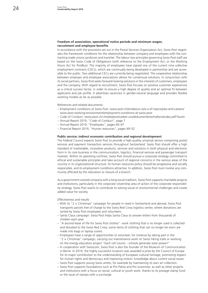#### **Freedom of association, operational notice periods and minimum wages; recruitment and employee benefits**

In accordance with the provisions set out in the Postal Services Organization Act, Swiss Post negotiates the framework conditions for the relationship between company and employees with the contracting trade unions syndicom and transfair. The labour law principles governing Swiss Post staff are based on the Swiss Code of Obligations (with reference to the Employment Act, or the Working Hours Act for PostBus). The majority of employees have signed one of the current nine collective employment contracts (CECs), which are continually being developed in partnership and are accessible to the public. Two additional CECs are currently being negotiated. The cooperative relationship between employer and employee associations allows for consensual solutions. In conjunction with its social partners, Swiss Post seeks forward-looking solutions in the interests of customers, employees and the company. With regard to recruitment, Swiss Post focuses on positive customer experiences as a critical success factor, in order to ensure a high degree of quality and an optimal fit between applicants and job profile. It advertises vacancies in gender-neutral language and provides flexible working models as far as possible.

References and related documents:

- Employment conditions at Swiss Post: [www.post.ch/en/about-us/a-z-of-topics/jobs-and-careers/](http://www.post.ch/en/about-us/a-z-of-topics/jobs-and-careers/swiss-post-working-environment/employment-conditions-at-swiss-post) [swiss-post-working-environment/employment-conditions-at-swiss-post](http://www.post.ch/en/about-us/a-z-of-topics/jobs-and-careers/swiss-post-working-environment/employment-conditions-at-swiss-post)
- Code of Conduct: www.post.ch/-/media/post/ueber-uns/dokumente/verhaltenskodex.pdf?la=en
- [Annual Report 2019, "Code of Conduct", page 7](https://geschaeftsbericht.post.ch/19/ar/app/uploads/EN_Post_Geschaeftsbericht_2019.pdf#page=11)
- [Annual Report 2019, "Employees", pages 60–67](https://geschaeftsbericht.post.ch/19/ar/app/uploads/EN_Post_Geschaeftsbericht_2019.pdf#page=64)
- [Financial Report 2019, "Human resources", pages 49–52](https://geschaeftsbericht.post.ch/19/ar/app/uploads/EN_Post_Finanzbericht_2019.pdf#page=51)

#### **Public service; indirect economic contribution and regional development**

The Federal Council expects Swiss Post to provide a high-quality universal service comprising postal services and payment transaction services throughout Switzerland. Swiss Post should offer a high standard of marketable, innovative products, services and solutions in both physical and electronic form in its core business in the communication, logistics, financial services and passenger transport markets. Within its operating confines, Swiss Post should pursue a corporate strategy committed to ethical and sustainable principles and take account of regional concerns in the various areas of the country in its organizational structure. Its human resources policy should be progressive and socially responsible, and its employment conditions attractive. In addition, Swiss Post must involve any community affected by the relocation or closure of a branch.

As a government-owned company with a long social tradition, Swiss Post supports charitable projects and institutions, particularly in the corporate citizenship area of action of the corporate responsibility strategy. Swiss Post wants to contribute to solving social or environmental challenges and create added value for society.

#### *Effectiveness and results*

- With its "2 × Christmas" campaign for people in need in Switzerland and abroad, Swiss Post transports parcels free of charge to the Swiss Red Cross logistics center, where donations are sorted by Swiss Post employees and volunteers.
- Santa Claus campaign: Swiss Post helps Santa Claus to answer letters from thousands of children each year.
- "A second lease of life for Swiss Post clothes": work clothing that is no longer used is collected and donated to the Swiss Red Cross; some items of clothing that can no longer be worn are made into bags or laptop covers.
- Employees have a range of opportunities to volunteer, for instance by taking part in the " $2 \times$  Christmas" campaign, carrying out maintenance work on Swiss hiking trails or working on the energy education project "Each cell counts – schools generate solar power!"
- In cooperation with Swisscom, Swiss Post is also the founder of the Museum of Communication in Berne. In 2019, the highly successful museum was awarded a prize by the Council of Europe for its major contribution to the understanding of European cultural heritage, promoting respect for human rights and democracy and improving visitors' knowledge about current social issues.
- Swiss Post supports young Swiss artists, for example by maintaining its own art collection.
- Swiss Post supports foundations such as Pro Patria and Pro Juventute, as well as other projects and institutions with a focus on social, cultural or youth work, thanks to its postage stamp fund or the issue of stamps with a surcharge.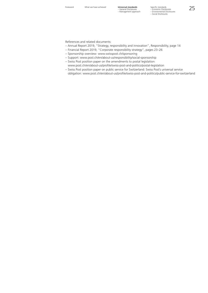References and related documents:

- [Annual Report 2019, "Strategy, responsibility and innovation", Responsibility, page 14](https://geschaeftsbericht.post.ch/19/ar/app/uploads/EN_Post_Geschaeftsbericht_2019.pdf#page=18)
- [Financial Report 2019, "Corporate responsibility strategy", pages 23–26](https://geschaeftsbericht.post.ch/19/ar/app/uploads/EN_Post_Finanzbericht_2019.pdf#page=25)
- Sponsorship overview: www.swisspost.ch/sponsoring
- Support: www.post.ch/en/about-us/responsibility/social-sponsorship
- Swiss Post position paper on the amendments to postal legislation: www.post.ch/en/about-us/profile/swiss-post-and-politics/postal-legislation
- Swiss Post position paper on public service for Switzerland: Swiss Post's universal service obligation: www.post.ch/en/about-us/profile/swiss-post-and-politics/public-service-for-switzerland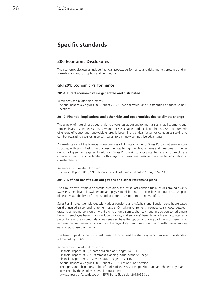## **Specific standards**

#### **200 Economic Disclosures**

The economic disclosures include financial aspects, performance and risks, market presence and information on anti-corruption and competition.

#### **GRI 201: Economic Performance**

#### **201-1: Direct economic value generated and distributed**

References and related documents:

– [Annual Report key figures 2019, sheet 201, "Financial result" and "Distribution of added value"](https://geschaeftsbericht.post.ch/19/ar/app/uploads/EN_Post_Kennzahlen_2019.xlsx)  [sections](https://geschaeftsbericht.post.ch/19/ar/app/uploads/EN_Post_Kennzahlen_2019.xlsx)

#### **201-2: Financial implications and other risks and opportunities due to climate change**

The scarcity of natural resources is raising awareness about environmental sustainability among customers, investors and legislators. Demand for sustainable products is on the rise. An optimum mix of energy efficiency and renewable energy is becoming a critical factor for companies seeking to combat escalating costs or, in certain cases, to gain new competitive advantages.

A quantification of the financial consequences of climate change for Swiss Post is not seen as constructive, with Swiss Post instead focusing on capturing greenhouse gases and measures for the reduction of greenhouse gases. In addition, Swiss Post seeks to anticipate the risks of future climate change, exploit the opportunities in this regard and examine possible measures for adaptation to climate change.

References and related documents:

– [Financial Report 2019, "Non-financial results of a material nature", pages 52–54](https://geschaeftsbericht.post.ch/19/ar/app/uploads/EN_Post_Finanzbericht_2019.pdf#page=54)

#### **201-3: Defined benefit plan obligations and other retirement plans**

The Group's own employee benefits institution, the Swiss Post pension fund, insures around 40,000 Swiss Post employees in Switzerland and pays 650 million francs in pensions to around 30,100 people each year. The level of cover stood at around 108 percent at the end of 2019.

Swiss Post insures its employees with various pension plans in Switzerland. Pension benefits are based on the insured salary and retirement assets. On taking retirement, insurees can choose between drawing a lifetime pension or withdrawing a lump-sum capital payment. In addition to retirement benefits, employee benefits also include disability and survivors' benefits, which are calculated as a percentage of the insured salary. Insurees also have the option of buying back pension benefits to improve their retirement situation, up to the regulatory maximum amount, or of withdrawing money early to purchase their home.

The benefits paid by the Swiss Post pension fund exceed the statutory minimum level. The standard retirement age is 65.

References and related documents:

- – [Financial Report 2019, "Staff pension plan", pages 141–148](https://geschaeftsbericht.post.ch/19/ar/app/uploads/EN_Post_Finanzbericht_2019.pdf#page=143)
- – [Financial Report 2019, "Retirement planning, social security", page 52](https://geschaeftsbericht.post.ch/19/ar/app/uploads/EN_Post_Finanzbericht_2019.pdf#page=54)
- – [Financial Report 2019, "Cover status", pages 145–148](https://geschaeftsbericht.post.ch/19/ar/app/uploads/EN_Post_Finanzbericht_2019.pdf#page=147)
- – [Annual Report key figures 2019, sheet 201, "Pension fund" section](https://geschaeftsbericht.post.ch/19/ar/app/uploads/EN_Post_Kennzahlen_2019.xlsx)
- The rights and obligations of beneficiaries of the Swiss Post pension fund and the employer are governed by the employee benefit regulations: www.pkpost.ch/data/docs/de/1485/PKPostVSR-de-def-20130528.pdf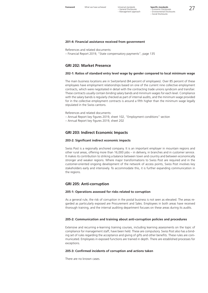#### **201-4: Financial assistance received from government**

References and related documents:

– [Financial Report 2019, "State compensatory payments", page 135](https://geschaeftsbericht.post.ch/19/ar/app/uploads/EN_Post_Finanzbericht_2019.pdf#page=137)

#### **GRI 202: Market Presence**

#### **202-1: Ratios of standard entry level wage by gender compared to local minimum wage**

The main business locations are in Switzerland (84 percent of employees). Over 85 percent of these employees have employment relationships based on one of the current nine collective employment contracts, which were negotiated in detail with the contracting trade unions syndicom and transfair. These contracts usually contain binding salary bands and minimum wages for each level. Compliance with the salary bands is regularly checked as part of internal audits, and the minimum wage provided for in the collective employment contracts is around a fifth higher than the minimum wage legally stipulated in the Swiss cantons.

References and related documents:

- [Annual Report key figures 2019, sheet 102, "Employment conditions" section](https://geschaeftsbericht.post.ch/19/ar/app/uploads/EN_Post_Kennzahlen_2019.xlsx)
- [Annual Report key figures 2019, sheet 202](https://geschaeftsbericht.post.ch/19/ar/app/uploads/EN_Post_Kennzahlen_2019.xlsx)

#### **GRI 203: Indirect Economic Impacts**

#### **203-2: Significant indirect economic impacts**

Swiss Post is a regionally anchored company. It is an important employer in mountain regions and other rural areas, offering more than 16,000 jobs – in delivery, in branches and in customer service. It makes its contribution to striking a balance between town and country and between economically stronger and weaker regions. Where major transformations to Swiss Post are required and in the customer-oriented ongoing development of the network of access points, Swiss Post involves key stakeholders early and intensively. To accommodate this, it is further expanding communication in the regions.

#### **GRI 205: Anti-corruption**

#### **205-1: Operations assessed for risks related to corruption**

As a general rule, the risk of corruption in the postal business is not seen as elevated. The areas regarded as particularly exposed are Procurement and Sales. Employees in both areas have received thorough training, and the internal auditing department focuses on these areas during its audits.

#### **205-2: Communication and training about anti-corruption policies and procedures**

Extensive and recurring e-learning training courses, including learning assessments on the topic of compliance for management staff, have been held. These are compulsory. Swiss Post also has a binding set of rules regarding the acceptance and giving of gifts and other benefits. These rules are communicated. Employees in exposed functions are trained in depth. There are established processes for exceptions.

#### **205-3: Confirmed incidents of corruption and actions taken**

There are no known cases.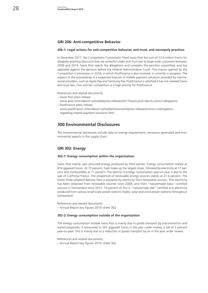#### **GRI 206: Anti-competitive Behavior**

#### **206-1: Legal actions for anti-competitive behavior, anti-trust, and monopoly practices**

In December 2017, the Competition Commission fined Swiss Post the sum of 22.6 million francs for allegedly granting discounts that are unlawful under anti-trust law to large-scale customers between 2009 and 2014. Swiss Post rejects the allegations and considers the sanction unjustified, and has appealed against the decision before the Federal Administrative Court. The inquiry opened by the Competition Commission in 2018, in which PostFinance is also involved, is currently in progress. The subject of the proceedings is a suspected boycott of mobile payment solutions provided by international providers, such as Apple Pay and Samsung Pay. PostFinance is satisfied it has not violated Swiss anti-trust law. Free and fair competition is a high priority for PostFinance.

References and related documents:

- Swiss Post press release:
- [www.post.ch/en/about-us/media/press-releases/2017/swiss-post-rejects-comco-allegations](http://www.post.ch/de/ueber-uns/unternehmen/medien/medienmitteilungen/2017/post-weist-vorwuerfe-der-weko-zurueck) – PostFinance press release:
- [www.postfinance.ch/en/about-us/media/newsroom/press-releases/comco-investigation](http://www.postfinance.ch/en/about-us/media/newsroom/press-releases/comco-investigation-regarding-mobile-payment-solutions.html)[regarding-mobile-payment-solutions.html](http://www.postfinance.ch/en/about-us/media/newsroom/press-releases/comco-investigation-regarding-mobile-payment-solutions.html)

#### **300 Environmental Disclosures**

The environmental disclosures include data on energy requirements, emissions generated and environmental aspects in the supply chain.

#### **GRI 302: Energy**

#### **302-1: Energy consumption within the organization**

Swiss Post mainly uses procured energy produced by third parties. Energy consumption stands at 816 gigawatt hours. At 72 percent, fuels make up the largest share, followed by electricity at 17 percent and combustibles at 11 percent. The decline in energy consumption year-on-year is due to the sale of CarPostal France. The proportion of renewable energy sources stands at 21.6 percent. The entire three-wheeled delivery fleet is powered by electricity from renewable sources. This electricity has been obtained from renewable sources since 2008, and from "naturemade basic"-certified sources in Switzerland since 2013. 10 percent of this is "naturemade star"-certified eco-electricity produced from various small-scale power stations (hydro, solar and wind power stations) throughout Switzerland.

References and related documents: – [Annual Report key figures 2019, sheet 302](https://geschaeftsbericht.post.ch/19/ar/app/uploads/EN_Post_Kennzahlen_2019.xlsx)

#### **302-2: Energy consumption outside of the organization**

The energy consumption outside Swiss Post is mainly due to goods transport by subcontractors and leased properties. It amounted to 561 gigawatt hours in the year under review, a fall of 3 percent year-on-year. This is mainly due to a reduction in goods transport by air in the year under review.

References and related documents: – [Annual Report key figures 2019, sheet 302](https://geschaeftsbericht.post.ch/19/ar/app/uploads/EN_Post_Kennzahlen_2019.xlsx)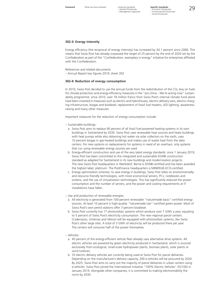– General Disclosures – Management approach

#### **302-3: Energy intensity**

Energy efficiency (the reciprocal of energy intensity) has increased by 34.1 percent since 2006. This means that Swiss Post has already surpassed the target of 25 percent by the end of 2020 set by the Confederation as part of the "Confederation: exemplary in energy" initiative for enterprises affiliated with the Confederation.

References and related documents:

– [Annual Report key figures 2019, sheet 302](https://geschaeftsbericht.post.ch/19/ar/app/uploads/EN_Post_Kennzahlen_2019.xlsx)

#### **302-4: Reduction of energy consumption**

In 2010, Swiss Post decided to use the annual funds from the redistribution of the  $CO<sub>2</sub>$  levy on fuels for climate protection and energy efficiency measures in the "pro clima – We're acting now" sustainability programme: since 2010, over 18 million francs from Swiss Post's internal climate fund alone have been invested in measures such as electric and hybrid buses, electric delivery vans, electric charging infrastructure, biogas and biodiesel, replacement of fossil fuel heaters, LED lighting, awarenessraising and many other measures.

Important measures for the reduction of energy consumption include:

- Sustainable buildings:
	- a. Swiss Post aims to replace 90 percent of all fossil fuel-powered heating systems in its own buildings in Switzerland by 2030. Swiss Post uses renewable heat sources and heats buildings with heat pumps while also obtaining hot water via solar collectors on the roofs, uses 10 percent biogas in gas-heated buildings and makes use of waste heat from the data centers. For new systems or replacements for systems in need of an overhaul, only systems that run using renewable energy sources are used.
	- b. Energy-efficient construction and use of the very latest energy standards: since 1 January 2019, Swiss Post has been committed to the integrated and sustainable DGNB construction standard as adapted for Switzerland in its new buildings and modernization projects. The new Swiss Post headquarters in Wankdorf, Berne is DGNB-certified and has been awarded the highest label, platinum. The PostFinance headquarters is MINERGIE-ECO-certified.
	- c. Energy optimization schemes: to save energy in buildings, Swiss Post relies on environmentallyand resource-friendly technologies, with more economical servers, PCs, notebooks and screens, and the use of virtualization technologies. This has significantly reduced the power consumption and the number of servers, and the power and cooling requirements at IT installations have fallen.
- Use and production of renewable energies:
- a. All electricity is generated from 100-percent renewable "naturemade basic"-certified energy sources. At least 10 percent is high-quality "naturemade star"-certified green power. Most of Swiss Post's own petrol stations offer 7-percent biodiesel.
- b. Swiss Post currently has 17 photovoltaic systems which produce over 7 GWh a year, equating to 5 percent of Swiss Post's electricity consumption. The new regional parcel centers (Cadenazzo, Untervaz and Vétroz) will be equipped with photovoltaic systems, like Swiss Post's other large sites. A total of 3 GWh of electricity will be produced there per year. The centers will consume half of the power themselves.
- Vehicles:
	- a. 45 percent of the energy-efficient vehicle fleet already uses alternative drive systems. All electric vehicles are powered by green electricity produced in Switzerland, which is sourced exclusively from ecological, small-scale hydropower plants, biomass plants, solar plants or wind turbines.
	- b. 33 electric delivery vehicles are currently being used at Swiss Post for parcel deliveries. Depending on the manufacturer's delivery capacity, 200 e-vehicles will be procured by 2020. By 2025, Swiss Post aims to carry out the majority of parcel deliveries in urban centers using e-vehicles. Swiss Post joined the international initiative "100% Electric Vehicles" (EV100) in January 2019. Alongside other companies, it is committed to making electromobility the norm by 2030.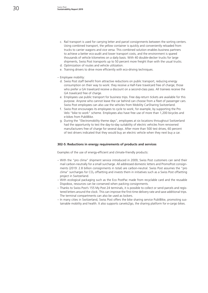- c. Rail transport is used for carrying letter and parcel consignments between the sorting centers. Using combined transport, the yellow container is quickly and conveniently reloaded from trucks to carrier wagons and vice versa. This combined solution enables business partners to achieve a better eco-audit and lower transport costs, and the environment is spared thousands of vehicle kilometres on a daily basis. With 40 double-decker trucks for large shipments, Swiss Post transports up to 50 percent more freight than with the usual trucks.
- d. Optimization of routes and vehicle utilization.
- e. Training drivers to drive more efficiently with eco-driving techniques.

#### – Employee mobility:

- d. Swiss Post staff benefit from attractive reductions on public transport, reducing energy consumption on their way to work: they receive a Half-Fare travelcard free of charge; those who prefer a GA travelcard receive a discount on a second-class pass. All trainees receive the GA travelcard free of charge.
- e. Employees use public transport for business trips. Free day-return tickets are available for this purpose. Anyone who cannot leave the car behind can choose from a fleet of passenger cars. Swiss Post employees can also use the vehicles from Mobility CarSharing Switzerland.
- f. Swiss Post encourages its employees to cycle to work; for example, by supporting the Pro Velo "bike to work" scheme. Employees also have free use of more than 1,200 bicycles and e-bikes from PubliBike.
- g. During the "Electromobility theme days", employees at six locations throughout Switzerland had the opportunity to test the day-to-day suitability of electric vehicles from renowned manufacturers free of charge for several days. After more than 500 test drives, 60 percent of test drivers indicated that they would buy an electric vehicle when they next buy a car.

#### **302-5: Reductions in energy requirements of products and services**

Examples of the use of energy-efficient and climate-friendly products:

- With the "pro clima" shipment service introduced in 2009, Swiss Post customers can send their mail carbon-neutrally for a small surcharge. All addressed domestic letters and PromoPost consignments (2019: 2.8 billion consignments in total) are carbon-neutral. Swiss Post assumes the "pro clima" surcharges for  $CO<sub>2</sub>$  offsetting and invests them in initiatives such as a Swiss Post offsetting project in Switzerland.
- With ecological packaging such as the Eco PostPac made from recyclable card and the reusable Dispobox, resources can be conserved when packing consignments.
- Thanks to Swiss Post's 155 My Post 24 terminals, it is possible to collect or send parcels and registered letters around the clock. This can improve the first-time delivery rate and save additional trips. The terminal compartments can also be used as lockers.
- In many cities in Switzerland, Swiss Post offers the bike sharing service PubliBike, promoting sustainable mobility and health. It also supports carvelo2go, the sharing platform for e-cargo bikes.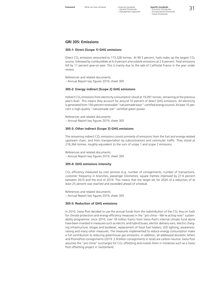– General Disclosures – Management approach

#### **GRI 305: Emissions**

#### **305-1: Direct (Scope 1) GHG emissions**

Direct CO<sub>2</sub> emissions amounted to 173,328 tonnes. At 90.5 percent, fuels make up the largest CO<sub>2</sub> source, followed by combustibles at 6.9 percent and volatile emissions at 2.6 percent. Total emissions fell by 11 percent year-on-year. This is mainly due to the sale of CarPostal France in the year under review.

References and related documents: – [Annual Report key figures 2019, sheet 305](https://geschaeftsbericht.post.ch/19/ar/app/uploads/EN_Post_Kennzahlen_2019.xlsx)

#### **305-2: Energy indirect (Scope 2) GHG emissions**

Indirect CO<sub>2</sub> emissions from electricity consumption stood at 19,091 tonnes, remaining at the previous year's level. This means they account for around 10 percent of direct GHG emissions. All electricity is generated from 100-percent renewable "naturemade basic"-certified energy sources. At least 10 percent is high-quality "naturemade star"-certified green power.

References and related documents: – [Annual Report key figures 2019, sheet 305](https://geschaeftsbericht.post.ch/19/ar/app/uploads/EN_Post_Kennzahlen_2019.xlsx)

#### **305-3: Other indirect (Scope 3) GHG emissions**

The remaining indirect  $CO<sub>2</sub>$  emissions consist primarily of emissions from the fuel and energy-related upstream chain, and from transportation by subcontractors and commuter traffic. They stood at 216,364 tonnes, roughly equivalent to the sum of scope 1 and scope 2 emissions.

References and related documents: – [Annual Report key figures 2019, sheet 305](https://geschaeftsbericht.post.ch/19/ar/app/uploads/EN_Post_Kennzahlen_2019.xlsx)

#### **305-4: GHG emissions intensity**

 $CO<sub>2</sub>$  efficiency measured by core services (e.g. number of consignments, number of transactions, customer frequency in branches, passenger kilometres, square metres) improved by 27.6 percent between 2010 and the end of 2019. This means that the target set for 2020 of a reduction of at least 25 percent was reached and exceeded ahead of schedule.

References and related documents: – [Annual Report key figures 2019, sheet 305](https://geschaeftsbericht.post.ch/19/ar/app/uploads/EN_Post_Kennzahlen_2019.xlsx)

#### **305-5: Reduction of GHG emissions**

In 2010, Swiss Post decided to use the annual funds from the redistribution of the  $CO<sub>2</sub>$  levy on fuels for climate protection and energy efficiency measures in the "pro clima – We're acting now" sustainability programme: since 2010, over 18 million francs from Swiss Post's internal climate fund alone have been invested in measures such as electric and hybrid buses, electric delivery vans, electric charging infrastructure, biogas and biodiesel, replacement of fossil fuel heaters, LED lighting, awarenessraising and many other measures. The measures implemented to reduce energy consumption make a full contribution to reducing greenhouse gas emissions. In addition, all addressed domestic letters and PromoPost consignments (2019: 2.8 billion consignments in total) are carbon-neutral. Swiss Post assumes the "pro clima" surcharges for  $CO<sub>2</sub>$  offsetting and invests them in initiatives such as a Swiss Post offsetting project in Switzerland.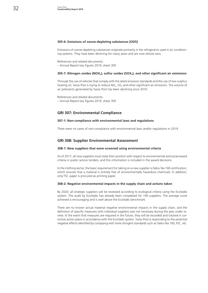#### **305-6: Emissions of ozone-depleting substances (ODS)**

Emissions of ozone-depleting substances originate primarily in the refrigerants used in air conditioning systems. They have been declining for many years and are now almost zero.

References and related documents: – [Annual Report key figures 2019, sheet 305](https://geschaeftsbericht.post.ch/19/ar/app/uploads/EN_Post_Kennzahlen_2019.xlsx)

#### **305-7: Nitrogen oxides (NOX<sub>x</sub>), sulfur oxides (SOX<sub>x</sub>), and other significant air emissions**

Through the use of vehicles that comply with the latest emission standards and the use of low-sulphur heating oil, Swiss Post is trying to reduce NO<sub>x</sub>, SO<sub>x</sub> and other significant air emissions. The volume of air pollutants generated by Swiss Post has been declining since 2010.

References and related documents: – [Annual Report key figures 2019, sheet 305](https://geschaeftsbericht.post.ch/19/ar/app/uploads/EN_Post_Kennzahlen_2019.xlsx)

#### **GRI 307: Environmental Compliance**

#### **307-1: Non-compliance with environmental laws and regulations**

There were no cases of non-compliance with environmental laws and/or regulations in 2019.

#### **GRI 308: Supplier Environmental Assessment**

#### **308-1: New suppliers that were screened using environmental criteria**

As of 2017, all new suppliers must state their position with respect to environmental and social award criteria in public service tenders, and this information is included in the award decisions.

In the clothing sector, the basic requirement for taking on a new supplier is Oeko-Tex 100 certification, which ensures that a material is entirely free of environmentally hazardous chemicals. In addition, only FSC paper is procured as printing paper.

#### **308-2: Negative environmental impacts in the supply chain and actions taken**

By 2020, all strategic suppliers will be reviewed according to ecological criteria using the EcoVadis system. The audit by EcoVadis has already been completed for 190 suppliers. The average score achieved is encouraging and is well above the EcoVadis benchmark.

There are no known actual material negative environmental impacts in the supply chain, and the definition of specific measures with individual suppliers was not necessary during the year under review. In the event that measures are required in the future, they will be recorded and tracked in corrective action plans in accordance with the EcoVadis system. Swiss Post is responding to the potential negative effects identified by complying with more stringent standards such as Oeko-Tex 100, FSC, etc.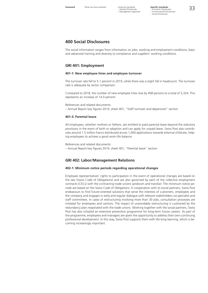## **400 Social Disclosures**

The social information ranges from information on jobs, working and employment conditions, basic and advanced training and diversity to compliance and suppliers' working conditions.

#### **GRI 401: Employment**

#### **401-1: New employee hires and employee turnover**

The turnover rate fell to 5.1 percent in 2019, while there was a slight fall in headcount. The turnover rate is adequate by sector comparison.

Compared to 2018, the number of new employee hires rose by 408 persons to a total of 3,324. This represents an increase of 14.0 percent.

References and related documents: – [Annual Report key figures 2019, sheet 401, "Staff turnover and departures" section](https://geschaeftsbericht.post.ch/19/ar/app/uploads/EN_Post_Kennzahlen_2019.xlsx)

#### **401-3: Parental leave**

All employees, whether mothers or fathers, are entitled to paid parental leave beyond the statutory provisions in the event of birth or adoption and can apply for unpaid leave. Swiss Post also contributes around 1.5 million francs distributed across 1,000 applications towards external childcare, helping employees to achieve a good work-life balance.

References and related documents:

– [Annual Report key figures 2019, sheet 401, "Parental leave" section](https://geschaeftsbericht.post.ch/19/ar/app/uploads/EN_Post_Kennzahlen_2019.xlsx)

#### **GRI 402: Labor/Management Relations**

#### **402-1: Minimum notice periods regarding operational changes**

Employee representatives' rights to participation in the event of operational changes are based on the law (Swiss Code of Obligations) and are also governed by each of the collective employment contracts (CECs) with the contracting trade unions syndicom and transfair. The minimum notice periods are based on the Swiss Code of Obligations. In cooperation with its social partners, Swiss Post endeavours to find future-oriented solutions that serve the interests of customers, employees and the company and engages in early and regular dialogue with relevant stakeholders via specialist and staff committees. In cases of restructuring involving more than 30 jobs, consultation processes are initiated for employees and cantons. The impact of unavoidable restructuring is cushioned by the redundancy plan negotiated with the trade unions. Working together with the social partners, Swiss Post has also initiated an extensive prevention programme for long-term future careers. As part of the programme, employees and managers are given the opportunity to address their own continuing professional development. In this way, Swiss Post supports them with life-long learning, which is becoming increasingly important.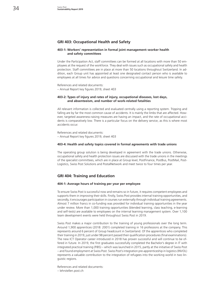#### **GRI 403: Occupational Health and Safety**

#### **403-1: Workers' representation in formal joint management–worker health and safety committees**

Under the Participation Act, staff committees can be formed at all locations with more than 50 employees at the request of the workforce. They deal with issues such as occupational safety and health protection. Staff committees are in place at more than 50 locations throughout Switzerland. In addition, each Group unit has appointed at least one designated contact person who is available to employees at all times for advice and questions concerning occupational and leisure time safety.

References and related documents: – [Annual Report key figures 2019, sheet 403](https://geschaeftsbericht.post.ch/19/ar/app/uploads/EN_Post_Kennzahlen_2019.xlsx)

#### **403-2: Types of injury and rates of injury, occupational diseases, lost days, and absenteeism, and number of work-related fatalities**

All relevant information is collected and evaluated centrally using a reporting system. Tripping and falling are by far the most common cause of accidents. It is mainly the limbs that are affected. However, targeted awareness-raising measures are having an impact, and the rate of occupational accidents is comparatively low. There is a particular focus on the delivery service, as this is where most accidents occur.

References and related documents: – [Annual Report key figures 2019, sheet 403](https://geschaeftsbericht.post.ch/19/ar/app/uploads/EN_Post_Kennzahlen_2019.xlsx)

#### **403-4: Health and safety topics covered in formal agreements with trade unions**

The operating group solution is being developed in agreement with the trade unions. Otherwise, occupational safety and health protection issues are discussed with the trade unions in the meetings of the specialist committees, which are in place at Group level, PostFinance, PostBus, PostMail, Post-Logistics, Swiss Post Solutions and PostalNetwork and meet twice to four times per year.

#### **GRI 404: Training and Education**

#### **404-1: Average hours of training per year per employee**

To ensure Swiss Post is successful now and remains so in future, it requires competent employees and supports them in improving their skills. Firstly, Swiss Post provides internal training opportunities, and secondly, it encourages participation in courses run externally through individual training agreements. Almost 7 million francs in co-funding was provided for individual training opportunities in the year under review. More than 1,000 training opportunities (blended learning, class teaching, e-learning and self-tests) are available to employees on the internal learning management system. Over 1,100 team development events were held throughout Swiss Post in 2019.

Swiss Post makes a major contribution to the training of young professionals over the long term. Around 1,900 apprentices (2018: 2001) completed training in 16 professions at the company. This represents around 6 percent of Group headcount in Switzerland. Of the apprentices who completed their training in 2019, just under 98 percent passed their qualification procedures (final examinations). The new ICT Operator career introduced in 2018 has proven successful and will continue to be offered in future. In 2019, the first graduates successfully completed the Bachelor's degree in IT with integrated practical training (PiBS) – which was launched in 2015, partly at the initiative of Swiss Post – and found employment at Swiss Post. Swiss Post's integration pre-apprenticeship in logistics (INVOL) represents a valuable contribution to the integration of refugees into the working world in two linguistic regions.

References and related documents:

– [lehrstellen.post.ch](http://lehrstellen.post.ch)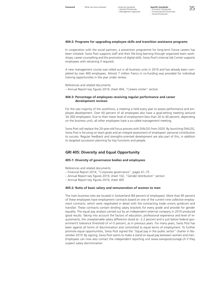#### **404-2: Programs for upgrading employee skills and transition assistance programs**

In cooperation with the social partners, a prevention programme for long-term future careers has been initiated. Swiss Post supports staff and their life-long learning through organized team workshops, career counselling and the promotion of digital skills. Swiss Post's internal Job Center supports employees with retraining if required.

A new management course was rolled out in all business units in 2019 and has already been completed by over 460 employees. Almost 7 million francs in co-funding was provided for individual training opportunities in the year under review.

References and related documents: – [Annual Report key figures 2019, sheet 404, "Careers center" section](https://geschaeftsbericht.post.ch/19/ar/app/uploads/EN_Post_Kennzahlen_2019.xlsx)

#### **404-3: Percentage of employees receiving regular performance and career development reviews**

For the vast majority of the workforce, a meeting is held every year to assess performance and employee development. Over 60 percent of all employees also have a goal-setting meeting (around 34, 000 employees). Due to their lower level of employment (less than 20 to 40 percent, depending on the business unit), all other employees have a so-called management meeting.

Swiss Post will replace the 20-year-old Focus process with DIALOG from 2020. By launching DIALOG, Swiss Post is focusing on team goals and an integral assessment of employees' personal contribution to success. Regular feedback and strengths-oriented development are also part of this, in addition to targeted succession planning for key functions and people.

#### **GRI 405: Diversity and Equal Opportunity**

#### **405-1: Diversity of governance bodies and employees**

References and related documents:

- [Financial Report 2019, "Corporate governance", pages 61–75](https://geschaeftsbericht.post.ch/19/ar/app/uploads/EN_Post_Finanzbericht_2019.pdf#page=63)
- [Annual Report key figures 2019, sheet 102, "Gender distribution" section](https://geschaeftsbericht.post.ch/19/ar/app/uploads/EN_Post_Kennzahlen_2019.xlsx)
- [Annual Report key figures 2019, sheet 405](https://geschaeftsbericht.post.ch/19/ar/app/uploads/EN_Post_Kennzahlen_2019.xlsx)

#### **405-2: Ratio of basic salary and remuneration of women to men**

The main business sites are located in Switzerland (84 percent of employees). More than 85 percent of these employees have employment contracts based on one of the current nine collective employment contracts, which were negotiated in detail with the contracting trade unions syndicom and transfair. These contracts contain binding salary brackets for every grade and provide for gender equality. The equal pay analysis carried out by an independent external company in 2019 produced good results. Taking into account the factors of education, professional experience and level of requirements, the unexplainable salary difference stood at –2.2 percent and is just below federal government's tolerance threshold of +/–5 percent, as in previous years. For many years, Swiss Post has been against all forms of discrimination and committed to equal terms of employment. To further promote equal opportunities, Swiss Post signed the "Equal pay in the public sector" charter in November 2019. By signing, Swiss Post wants to make a stand on equal pay between women and men. Employees can now also contact the independent reporting unit www.swisspostcourage.ch if they suspect salary discrimination.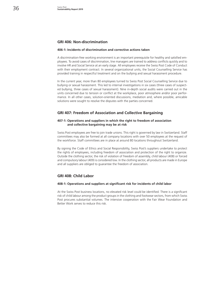#### **GRI 406: Non-discrimination**

#### **406-1: Incidents of discrimination and corrective actions taken**

A discrimination-free working environment is an important prerequisite for healthy and satisfied employees. To avoid cases of discrimination, line managers are trained to address conflicts quickly and to involve HR and Social Service at an early stage. All employees receive the Swiss Post Code of Conduct with their employment contract. In several organizational units, the Social Counselling Service has provided training in respectful treatment and on the bullying and sexual harassment procedure.

In the current year, more than 80 employees turned to Swiss Post Social Counselling Service due to bullying or sexual harassment. This led to internal investigations in six cases (three cases of suspected bullying, three cases of sexual harassment). Nine in-depth social audits were carried out in the units concerned due to tension or conflict at the workplace, poor atmosphere and/or poor performance. In all other cases, solution-oriented discussions, mediation and, where possible, amicable solutions were sought to resolve the disputes with the parties concerned.

#### **GRI 407: Freedom of Association and Collective Bargaining**

#### **407-1: Operations and suppliers in which the right to freedom of association and collective bargaining may be at risk**

Swiss Post employees are free to join trade unions. This right is governed by law in Switzerland. Staff committees may also be formed at all company locations with over 50 employees at the request of the workforce. Staff committees are in place at around 80 locations throughout Switzerland.

By signing the Code of Ethics and Social Responsibility, Swiss Post's suppliers undertake to protect the rights of employees, including freedom of association and protection of the right to organize. Outside the clothing sector, the risk of violation of freedom of assembly, child labour (408) or forced and compulsory labour (409) is considered low. In the clothing sector, all products are made in Europe and all suppliers are obliged to guarantee the freedom of association.

#### **GRI 408: Child Labor**

#### **408-1: Operations and suppliers at significant risk for incidents of child labor**

At the Swiss Post business locations, no elevated risk level could be identified. There is a significant risk of child labour among the product groups in the clothing and footwear sectors, from which Swiss Post procures substantial volumes. The intensive cooperation with the Fair Wear Foundation and Better Work serves to reduce this risk.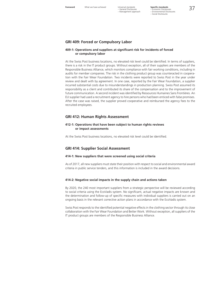– General Disclosures – Management approach

**Foreword** What we have achieved Universal standards **Specific standards**<br>
– General Disclosures – Economic Disclosures<br>
– Management approach – Environmental Disclosures<br>
– Social Disclosures **Specific standards**

#### **GRI 409: Forced or Compulsory Labor**

#### **409-1: Operations and suppliers at significant risk for incidents of forced or compulsory labor**

At the Swiss Post business locations, no elevated risk level could be identified. In terms of suppliers, there is a risk in the IT product groups. Without exception, all of their suppliers are members of the Responsible Business Alliance, which monitors compliance with fair working conditions, including in audits for member companies. The risk in the clothing product group was counteracted in cooperation with the Fair Wear Foundation. Two incidents were reported to Swiss Post in the year under review and dealt with by agreement. In one case, reported by the Fair Wear Foundation, a supplier incurred substantial costs due to misunderstandings in production planning. Swiss Post assumed its responsibility as a client and contributed its share of the compensation and to the improvement of future communication. A second incident was identified by Ressources Humaines Sans Frontières. An EU supplier had used a recruitment agency to hire persons who had been enticed with false promises. After the case was raised, the supplier proved cooperative and reimbursed the agency fees to the recruited employees.

#### **GRI 412: Human Rights Assessment**

#### **412-1: Operations that have been subject to human rights reviews or impact assessments**

At the Swiss Post business locations, no elevated risk level could be identified.

#### **GRI 414: Supplier Social Assessment**

#### **414-1: New suppliers that were screened using social criteria**

As of 2017, all new suppliers must state their position with respect to social and environmental award criteria in public service tenders, and this information is included in the award decisions.

#### **414-2: Negative social impacts in the supply chain and actions taken**

By 2020, the 240 most important suppliers from a strategic perspective will be reviewed according to social criteria using the EcoVadis system. No significant, actual negative impacts are known and the determination and follow-up of specific measures with individual suppliers is carried out on an ongoing basis in the relevant corrective action plans in accordance with the EcoVadis system.

Swiss Post responds to the identified potential negative effects in the clothing sector through its close collaboration with the Fair Wear Foundation and Better Work. Without exception, all suppliers of the IT product groups are members of the Responsible Business Alliance.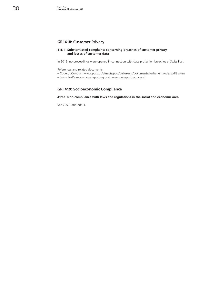### **GRI 418: Customer Privacy**

#### **418-1: Substantiated complaints concerning breaches of customer privacy and losses of customer data**

In 2019, no proceedings were opened in connection with data protection breaches at Swiss Post.

References and related documents:

– Code of Conduct: www.post.ch/-/media/post/ueber-uns/dokumente/verhaltenskodex.pdf?la=en

– Swiss Post's anonymous reporting unit: www.swisspostcourage.ch

#### **GRI 419: Socioeconomic Compliance**

#### **419-1: Non-compliance with laws and regulations in the social and economic area**

See 205-1 and 206-1.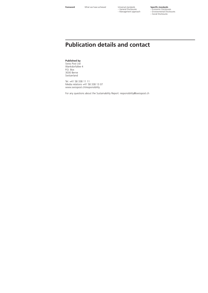– General Disclosures – Management approach

# **Specific standards<br>– Economic Disclosures<br>– Environmental Disclosures<br>– Social Disclosures**

## **Publication details and contact**

**Published by**

Swiss Post Ltd Wankdorfallee 4 P.O. Box 3030 Berne Switzerland

Tel. +41 58 338 11 11 Media relations +41 58 338 13 07 [www.swisspost.ch/](http://www.swisspost.ch/responsibility)responsibility

For any questions about the Sustainability Report: [responsibility@swisspost.ch](mailto:responsibility%40swisspost.ch?subject=)